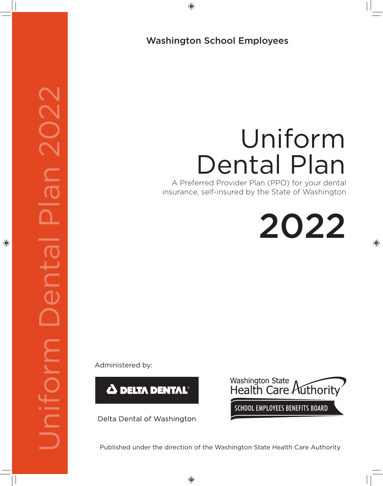⊕

# Washington School Employees

# Uniform Dental Plan

A Preferred Provider Plan (PPO) for your dental insurance, self-insured by the State of Washington

2022

⊕

Administered by:

DeltaCare® 2020 Uniform Dental Plan 2022

**JO** 

DIN

◈

 $\bigcap$ 



Delta Dental of Washington



Published under the direction of the Washington State Health Care Authority

⊕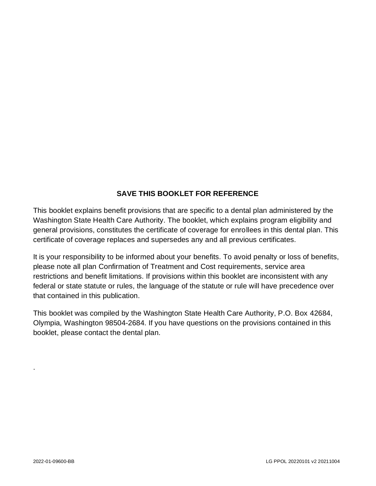# **SAVE THIS BOOKLET FOR REFERENCE**

This booklet explains benefit provisions that are specific to a dental plan administered by the Washington State Health Care Authority. The booklet, which explains program eligibility and general provisions, constitutes the certificate of coverage for enrollees in this dental plan. This certificate of coverage replaces and supersedes any and all previous certificates.

It is your responsibility to be informed about your benefits. To avoid penalty or loss of benefits, please note all plan Confirmation of Treatment and Cost requirements, service area restrictions and benefit limitations. If provisions within this booklet are inconsistent with any federal or state statute or rules, the language of the statute or rule will have precedence over that contained in this publication.

This booklet was compiled by the Washington State Health Care Authority, P.O. Box 42684, Olympia, Washington 98504-2684. If you have questions on the provisions contained in this booklet, please contact the dental plan.

.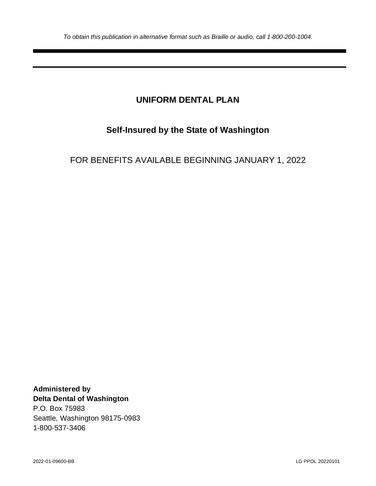# **UNIFORM DENTAL PLAN**

# **Self-Insured by the State of Washington**

# FOR BENEFITS AVAILABLE BEGINNING JANUARY 1, 2022

**Administered by Delta Dental of Washington** P.O. Box 75983 Seattle, Washington 98175-0983 1-800-537-3406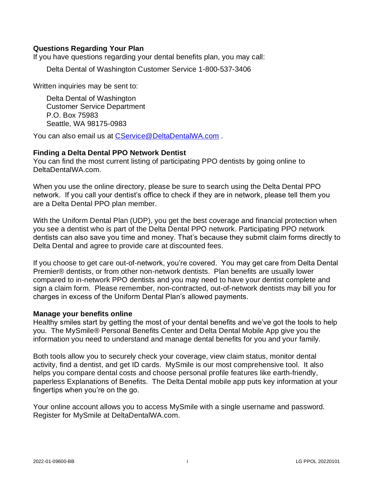# **Questions Regarding Your Plan**

If you have questions regarding your dental benefits plan, you may call:

Delta Dental of Washington Customer Service 1-800-537-3406

Written inquiries may be sent to:

Delta Dental of Washington Customer Service Department P.O. Box 75983 Seattle, WA 98175-0983

You can also email us at [CService@DeltaDentalWA.com](mailto:CService@DeltaDentalWA.com) .

# **Finding a Delta Dental PPO Network Dentist**

You can find the most current listing of participating PPO dentists by going online to DeltaDentalWA.com.

When you use the online directory, please be sure to search using the Delta Dental PPO network. If you call your dentist's office to check if they are in network, please tell them you are a Delta Dental PPO plan member.

With the Uniform Dental Plan (UDP), you get the best coverage and financial protection when you see a dentist who is part of the Delta Dental PPO network. Participating PPO network dentists can also save you time and money. That's because they submit claim forms directly to Delta Dental and agree to provide care at discounted fees.

If you choose to get care out-of-network, you're covered. You may get care from Delta Dental Premier® dentists, or from other non-network dentists. Plan benefits are usually lower compared to in-network PPO dentists and you may need to have your dentist complete and sign a claim form. Please remember, non-contracted, out-of-network dentists may bill you for charges in excess of the Uniform Dental Plan's allowed payments.

## **Manage your benefits online**

Healthy smiles start by getting the most of your dental benefits and we've got the tools to help you. The MySmile® Personal Benefits Center and Delta Dental Mobile App give you the information you need to understand and manage dental benefits for you and your family.

Both tools allow you to securely check your coverage, view claim status, monitor dental activity, find a dentist, and get ID cards. MySmile is our most comprehensive tool. It also helps you compare dental costs and choose personal profile features like earth-friendly, paperless Explanations of Benefits. The Delta Dental mobile app puts key information at your fingertips when you're on the go.

Your online account allows you to access MySmile with a single username and password. Register for MySmile at DeltaDentalWA.com.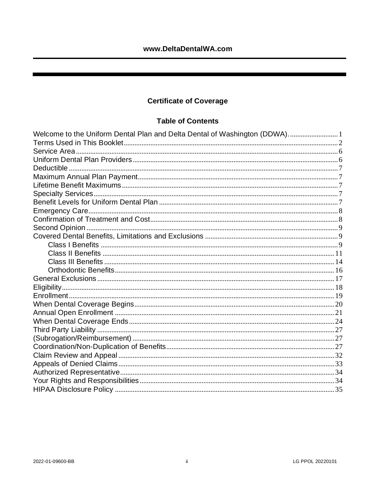# **Certificate of Coverage**

# **Table of Contents**

| Welcome to the Uniform Dental Plan and Delta Dental of Washington (DDWA)1 |  |
|---------------------------------------------------------------------------|--|
|                                                                           |  |
|                                                                           |  |
|                                                                           |  |
|                                                                           |  |
|                                                                           |  |
|                                                                           |  |
|                                                                           |  |
|                                                                           |  |
|                                                                           |  |
|                                                                           |  |
|                                                                           |  |
|                                                                           |  |
|                                                                           |  |
|                                                                           |  |
|                                                                           |  |
|                                                                           |  |
|                                                                           |  |
|                                                                           |  |
|                                                                           |  |
|                                                                           |  |
|                                                                           |  |
|                                                                           |  |
|                                                                           |  |
|                                                                           |  |
|                                                                           |  |
|                                                                           |  |
|                                                                           |  |
|                                                                           |  |
|                                                                           |  |
|                                                                           |  |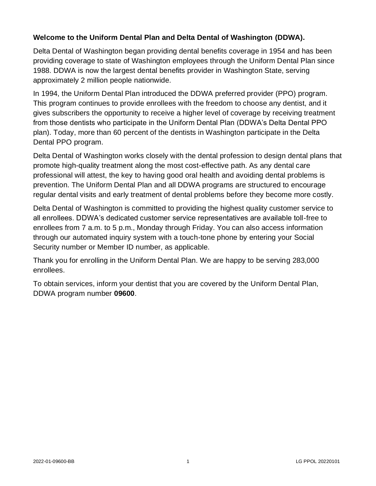# <span id="page-5-0"></span>**Welcome to the Uniform Dental Plan and Delta Dental of Washington (DDWA).**

Delta Dental of Washington began providing dental benefits coverage in 1954 and has been providing coverage to state of Washington employees through the Uniform Dental Plan since 1988. DDWA is now the largest dental benefits provider in Washington State, serving approximately 2 million people nationwide.

In 1994, the Uniform Dental Plan introduced the DDWA preferred provider (PPO) program. This program continues to provide enrollees with the freedom to choose any dentist, and it gives subscribers the opportunity to receive a higher level of coverage by receiving treatment from those dentists who participate in the Uniform Dental Plan (DDWA's Delta Dental PPO plan). Today, more than 60 percent of the dentists in Washington participate in the Delta Dental PPO program.

Delta Dental of Washington works closely with the dental profession to design dental plans that promote high-quality treatment along the most cost-effective path. As any dental care professional will attest, the key to having good oral health and avoiding dental problems is prevention. The Uniform Dental Plan and all DDWA programs are structured to encourage regular dental visits and early treatment of dental problems before they become more costly.

Delta Dental of Washington is committed to providing the highest quality customer service to all enrollees. DDWA's dedicated customer service representatives are available toll-free to enrollees from 7 a.m. to 5 p.m., Monday through Friday. You can also access information through our automated inquiry system with a touch-tone phone by entering your Social Security number or Member ID number, as applicable.

Thank you for enrolling in the Uniform Dental Plan. We are happy to be serving 283,000 enrollees.

To obtain services, inform your dentist that you are covered by the Uniform Dental Plan, DDWA program number **09600**.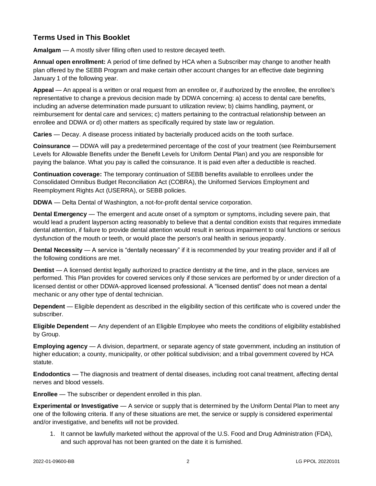# <span id="page-6-0"></span>**Terms Used in This Booklet**

**Amalgam** — A mostly silver filling often used to restore decayed teeth.

**Annual open enrollment:** A period of time defined by HCA when a Subscriber may change to another health plan offered by the SEBB Program and make certain other account changes for an effective date beginning January 1 of the following year.

**Appeal** — An appeal is a written or oral request from an enrollee or, if authorized by the enrollee, the enrollee's representative to change a previous decision made by DDWA concerning: a) access to dental care benefits, including an adverse determination made pursuant to utilization review; b) claims handling, payment, or reimbursement for dental care and services; c) matters pertaining to the contractual relationship between an enrollee and DDWA or d) other matters as specifically required by state law or regulation.

**Caries** — Decay. A disease process initiated by bacterially produced acids on the tooth surface.

**Coinsurance** — DDWA will pay a predetermined percentage of the cost of your treatment (see Reimbursement Levels for Allowable Benefits under the Benefit Levels for Uniform Dental Plan) and you are responsible for paying the balance. What you pay is called the coinsurance. It is paid even after a deductible is reached.

**Continuation coverage:** The temporary continuation of SEBB benefits available to enrollees under the Consolidated Omnibus Budget Reconciliation Act (COBRA), the Uniformed Services Employment and Reemployment Rights Act (USERRA), or SEBB policies.

**DDWA** — Delta Dental of Washington, a not-for-profit dental service corporation.

**Dental Emergency** — The emergent and acute onset of a symptom or symptoms, including severe pain, that would lead a prudent layperson acting reasonably to believe that a dental condition exists that requires immediate dental attention, if failure to provide dental attention would result in serious impairment to oral functions or serious dysfunction of the mouth or teeth, or would place the person's oral health in serious jeopardy.

**Dental Necessity** — A service is "dentally necessary" if it is recommended by your treating provider and if all of the following conditions are met.

**Dentist** — A licensed dentist legally authorized to practice dentistry at the time, and in the place, services are performed. This Plan provides for covered services only if those services are performed by or under direction of a licensed dentist or other DDWA-approved licensed professional. A "licensed dentist" does not mean a dental mechanic or any other type of dental technician.

**Dependent** — Eligible dependent as described in the eligibility section of this certificate who is covered under the subscriber.

**Eligible Dependent** — Any dependent of an Eligible Employee who meets the conditions of eligibility established by Group.

**Employing agency** — A division, department, or separate agency of state government, including an institution of higher education; a county, municipality, or other political subdivision; and a tribal government covered by HCA statute.

**Endodontics** — The diagnosis and treatment of dental diseases, including root canal treatment, affecting dental nerves and blood vessels.

**Enrollee** — The subscriber or dependent enrolled in this plan.

**Experimental or Investigative** — A service or supply that is determined by the Uniform Dental Plan to meet any one of the following criteria. If any of these situations are met, the service or supply is considered experimental and/or investigative, and benefits will not be provided.

1. It cannot be lawfully marketed without the approval of the U.S. Food and Drug Administration (FDA), and such approval has not been granted on the date it is furnished.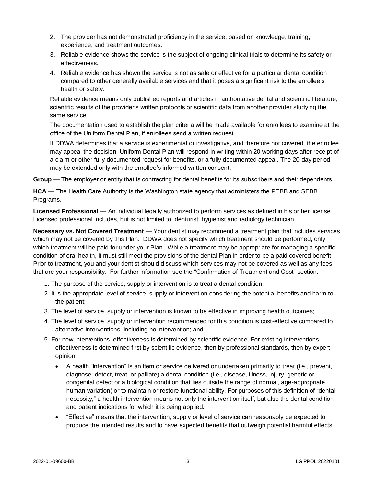- 2. The provider has not demonstrated proficiency in the service, based on knowledge, training, experience, and treatment outcomes.
- 3. Reliable evidence shows the service is the subject of ongoing clinical trials to determine its safety or effectiveness.
- 4. Reliable evidence has shown the service is not as safe or effective for a particular dental condition compared to other generally available services and that it poses a significant risk to the enrollee's health or safety.

Reliable evidence means only published reports and articles in authoritative dental and scientific literature, scientific results of the provider's written protocols or scientific data from another provider studying the same service.

The documentation used to establish the plan criteria will be made available for enrollees to examine at the office of the Uniform Dental Plan, if enrollees send a written request.

If DDWA determines that a service is experimental or investigative, and therefore not covered, the enrollee may appeal the decision. Uniform Dental Plan will respond in writing within 20 working days after receipt of a claim or other fully documented request for benefits, or a fully documented appeal. The 20-day period may be extended only with the enrollee's informed written consent.

**Group** — The employer or entity that is contracting for dental benefits for its subscribers and their dependents.

**HCA** — The Health Care Authority is the Washington state agency that administers the PEBB and SEBB Programs.

**Licensed Professional** — An individual legally authorized to perform services as defined in his or her license. Licensed professional includes, but is not limited to, denturist, hygienist and radiology technician.

**Necessary vs. Not Covered Treatment** — Your dentist may recommend a treatment plan that includes services which may not be covered by this Plan. DDWA does not specify which treatment should be performed, only which treatment will be paid for under your Plan. While a treatment may be appropriate for managing a specific condition of oral health, it must still meet the provisions of the dental Plan in order to be a paid covered benefit. Prior to treatment, you and your dentist should discuss which services may not be covered as well as any fees that are your responsibility. For further information see the "Confirmation of Treatment and Cost" section.

- 1. The purpose of the service, supply or intervention is to treat a dental condition;
- 2. It is the appropriate level of service, supply or intervention considering the potential benefits and harm to the patient;
- 3. The level of service, supply or intervention is known to be effective in improving health outcomes;
- 4. The level of service, supply or intervention recommended for this condition is cost-effective compared to alternative interventions, including no intervention; and
- 5. For new interventions, effectiveness is determined by scientific evidence. For existing interventions, effectiveness is determined first by scientific evidence, then by professional standards, then by expert opinion.
	- A health "intervention" is an item or service delivered or undertaken primarily to treat (i.e., prevent, diagnose, detect, treat, or palliate) a dental condition (i.e., disease, illness, injury, genetic or congenital defect or a biological condition that lies outside the range of normal, age-appropriate human variation) or to maintain or restore functional ability. For purposes of this definition of "dental necessity," a health intervention means not only the intervention itself, but also the dental condition and patient indications for which it is being applied.
	- "Effective" means that the intervention, supply or level of service can reasonably be expected to produce the intended results and to have expected benefits that outweigh potential harmful effects.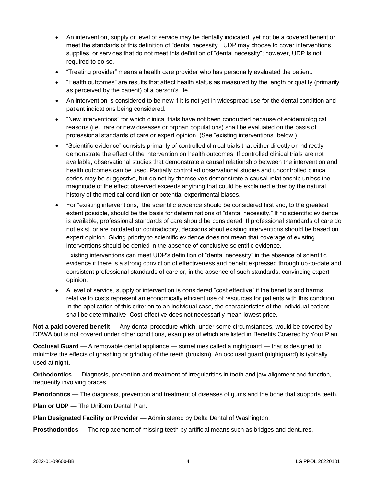- An intervention, supply or level of service may be dentally indicated, yet not be a covered benefit or meet the standards of this definition of "dental necessity." UDP may choose to cover interventions, supplies, or services that do not meet this definition of "dental necessity"; however, UDP is not required to do so.
- "Treating provider" means a health care provider who has personally evaluated the patient.
- "Health outcomes" are results that affect health status as measured by the length or quality (primarily as perceived by the patient) of a person's life.
- An intervention is considered to be new if it is not yet in widespread use for the dental condition and patient indications being considered.
- "New interventions" for which clinical trials have not been conducted because of epidemiological reasons (i.e., rare or new diseases or orphan populations) shall be evaluated on the basis of professional standards of care or expert opinion. (See "existing interventions" below.)
- "Scientific evidence" consists primarily of controlled clinical trials that either directly or indirectly demonstrate the effect of the intervention on health outcomes. If controlled clinical trials are not available, observational studies that demonstrate a causal relationship between the intervention and health outcomes can be used. Partially controlled observational studies and uncontrolled clinical series may be suggestive, but do not by themselves demonstrate a causal relationship unless the magnitude of the effect observed exceeds anything that could be explained either by the natural history of the medical condition or potential experimental biases.
- For "existing interventions," the scientific evidence should be considered first and, to the greatest extent possible, should be the basis for determinations of "dental necessity." If no scientific evidence is available, professional standards of care should be considered. If professional standards of care do not exist, or are outdated or contradictory, decisions about existing interventions should be based on expert opinion. Giving priority to scientific evidence does not mean that coverage of existing interventions should be denied in the absence of conclusive scientific evidence.

Existing interventions can meet UDP's definition of "dental necessity" in the absence of scientific evidence if there is a strong conviction of effectiveness and benefit expressed through up-to-date and consistent professional standards of care or, in the absence of such standards, convincing expert opinion.

• A level of service, supply or intervention is considered "cost effective" if the benefits and harms relative to costs represent an economically efficient use of resources for patients with this condition. In the application of this criterion to an individual case, the characteristics of the individual patient shall be determinative. Cost-effective does not necessarily mean lowest price.

**Not a paid covered benefit** — Any dental procedure which, under some circumstances, would be covered by DDWA but is not covered under other conditions, examples of which are listed in Benefits Covered by Your Plan.

**Occlusal Guard** — A removable dental appliance — sometimes called a nightguard — that is designed to minimize the effects of gnashing or grinding of the teeth (bruxism). An occlusal guard (nightguard) is typically used at night.

**Orthodontics** — Diagnosis, prevention and treatment of irregularities in tooth and jaw alignment and function, frequently involving braces.

**Periodontics** — The diagnosis, prevention and treatment of diseases of gums and the bone that supports teeth.

**Plan or UDP** — The Uniform Dental Plan.

**Plan Designated Facility or Provider** — Administered by Delta Dental of Washington.

**Prosthodontics** — The replacement of missing teeth by artificial means such as bridges and dentures.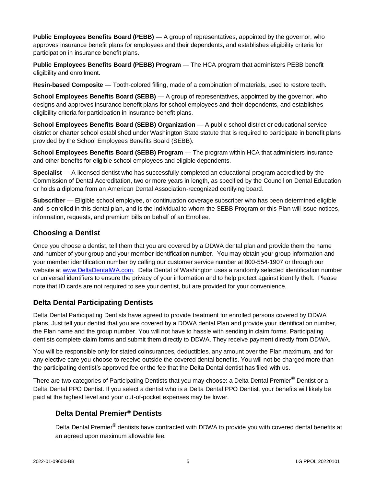**Public Employees Benefits Board (PEBB)** — A group of representatives, appointed by the governor, who approves insurance benefit plans for employees and their dependents, and establishes eligibility criteria for participation in insurance benefit plans.

**Public Employees Benefits Board (PEBB) Program** — The HCA program that administers PEBB benefit eligibility and enrollment.

**Resin-based Composite** — Tooth-colored filling, made of a combination of materials, used to restore teeth.

**School Employees Benefits Board (SEBB)** — A group of representatives, appointed by the governor, who designs and approves insurance benefit plans for school employees and their dependents, and establishes eligibility criteria for participation in insurance benefit plans.

**School Employees Benefits Board (SEBB) Organization** — A public school district or educational service district or charter school established under Washington State statute that is required to participate in benefit plans provided by the School Employees Benefits Board (SEBB).

**School Employees Benefits Board (SEBB) Program** — The program within HCA that administers insurance and other benefits for eligible school employees and eligible dependents.

**Specialist** — A licensed dentist who has successfully completed an educational program accredited by the Commission of Dental Accreditation, two or more years in length, as specified by the Council on Dental Education or holds a diploma from an American Dental Association-recognized certifying board.

**Subscriber** — Eligible school employee, or continuation coverage subscriber who has been determined eligible and is enrolled in this dental plan, and is the individual to whom the SEBB Program or this Plan will issue notices, information, requests, and premium bills on behalf of an Enrollee.

# **Choosing a Dentist**

Once you choose a dentist, tell them that you are covered by a DDWA dental plan and provide them the name and number of your group and your member identification number. You may obtain your group information and your member identification number by calling our customer service number at 800-554-1907 or through our website at [www.DeltaDentalWA.com.](http://www.deltadentalwa.com/) Delta Dental of Washington uses a randomly selected identification number or universal identifiers to ensure the privacy of your information and to help protect against identify theft. Please note that ID cards are not required to see your dentist, but are provided for your convenience.

# **Delta Dental Participating Dentists**

Delta Dental Participating Dentists have agreed to provide treatment for enrolled persons covered by DDWA plans. Just tell your dentist that you are covered by a DDWA dental Plan and provide your identification number, the Plan name and the group number. You will not have to hassle with sending in claim forms. Participating dentists complete claim forms and submit them directly to DDWA. They receive payment directly from DDWA.

You will be responsible only for stated coinsurances, deductibles, any amount over the Plan maximum, and for any elective care you choose to receive outside the covered dental benefits. You will not be charged more than the participating dentist's approved fee or the fee that the Delta Dental dentist has filed with us.

There are two categories of Participating Dentists that you may choose: a Delta Dental Premier**®** Dentist or a Delta Dental PPO Dentist. If you select a dentist who is a Delta Dental PPO Dentist, your benefits will likely be paid at the highest level and your out-of-pocket expenses may be lower.

# **Delta Dental Premier® Dentists**

Delta Dental Premier**®** dentists have contracted with DDWA to provide you with covered dental benefits at an agreed upon maximum allowable fee.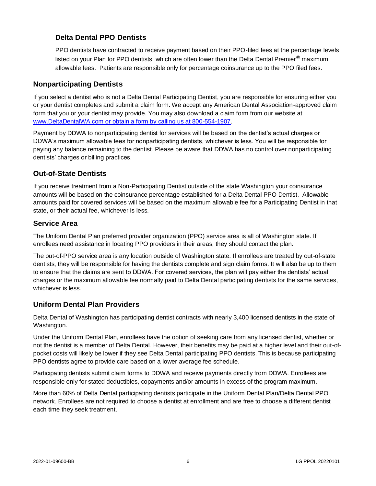# **Delta Dental PPO Dentists**

PPO dentists have contracted to receive payment based on their PPO-filed fees at the percentage levels listed on your Plan for PPO dentists, which are often lower than the Delta Dental Premier**®** maximum allowable fees. Patients are responsible only for percentage coinsurance up to the PPO filed fees.

# **Nonparticipating Dentists**

If you select a dentist who is not a Delta Dental Participating Dentist, you are responsible for ensuring either you or your dentist completes and submit a claim form. We accept any American Dental Association-approved claim form that you or your dentist may provide. You may also download a claim form from our website at [www.DeltaDentalWA.com](http://www.deltadentalwa.com/) or obtain a form by calling us at 800-554-1907.

Payment by DDWA to nonparticipating dentist for services will be based on the dentist's actual charges or DDWA's maximum allowable fees for nonparticipating dentists, whichever is less. You will be responsible for paying any balance remaining to the dentist. Please be aware that DDWA has no control over nonparticipating dentists' charges or billing practices.

# **Out-of-State Dentists**

If you receive treatment from a Non-Participating Dentist outside of the state Washington your coinsurance amounts will be based on the coinsurance percentage established for a Delta Dental PPO Dentist. Allowable amounts paid for covered services will be based on the maximum allowable fee for a Participating Dentist in that state, or their actual fee, whichever is less.

# <span id="page-10-0"></span>**Service Area**

The Uniform Dental Plan preferred provider organization (PPO) service area is all of Washington state. If enrollees need assistance in locating PPO providers in their areas, they should contact the plan.

The out-of-PPO service area is any location outside of Washington state. If enrollees are treated by out-of-state dentists, they will be responsible for having the dentists complete and sign claim forms. It will also be up to them to ensure that the claims are sent to DDWA. For covered services, the plan will pay either the dentists' actual charges or the maximum allowable fee normally paid to Delta Dental participating dentists for the same services, whichever is less.

# <span id="page-10-1"></span>**Uniform Dental Plan Providers**

Delta Dental of Washington has participating dentist contracts with nearly 3,400 licensed dentists in the state of Washington.

Under the Uniform Dental Plan, enrollees have the option of seeking care from any licensed dentist, whether or not the dentist is a member of Delta Dental. However, their benefits may be paid at a higher level and their out-ofpocket costs will likely be lower if they see Delta Dental participating PPO dentists. This is because participating PPO dentists agree to provide care based on a lower average fee schedule.

Participating dentists submit claim forms to DDWA and receive payments directly from DDWA. Enrollees are responsible only for stated deductibles, copayments and/or amounts in excess of the program maximum.

More than 60% of Delta Dental participating dentists participate in the Uniform Dental Plan/Delta Dental PPO network. Enrollees are not required to choose a dentist at enrollment and are free to choose a different dentist each time they seek treatment.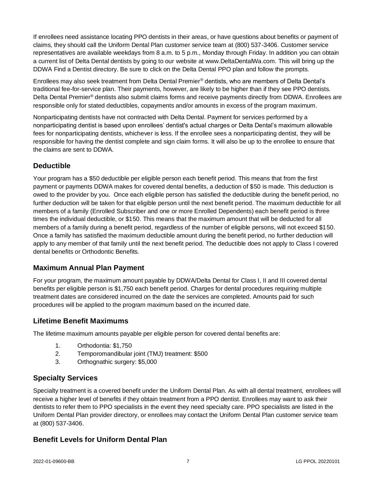If enrollees need assistance locating PPO dentists in their areas, or have questions about benefits or payment of claims, they should call the Uniform Dental Plan customer service team at (800) 537-3406. Customer service representatives are available weekdays from 8 a.m. to 5 p.m., Monday through Friday. In addition you can obtain a current list of Delta Dental dentists by going to our website at [www.DeltaDentalWa.com.](http://www.ddpwa.com/) This will bring up the DDWA Find a Dentist directory. Be sure to click on the Delta Dental PPO plan and follow the prompts.

Enrollees may also seek treatment from Delta Dental Premier® dentists, who are members of Delta Dental's traditional fee-for-service plan. Their payments, however, are likely to be higher than if they see PPO dentists. Delta Dental Premier® dentists also submit claims forms and receive payments directly from DDWA. Enrollees are responsible only for stated deductibles, copayments and/or amounts in excess of the program maximum.

Nonparticipating dentists have not contracted with Delta Dental. Payment for services performed by a nonparticipating dentist is based upon enrollees' dentist's actual charges or Delta Dental's maximum allowable fees for nonparticipating dentists, whichever is less. If the enrollee sees a nonparticipating dentist, they will be responsible for having the dentist complete and sign claim forms. It will also be up to the enrollee to ensure that the claims are sent to DDWA.

# <span id="page-11-0"></span>**Deductible**

Your program has a \$50 deductible per eligible person each benefit period. This means that from the first payment or payments DDWA makes for covered dental benefits, a deduction of \$50 is made. This deduction is owed to the provider by you. Once each eligible person has satisfied the deductible during the benefit period, no further deduction will be taken for that eligible person until the next benefit period. The maximum deductible for all members of a family (Enrolled Subscriber and one or more Enrolled Dependents) each benefit period is three times the individual deductible, or \$150. This means that the maximum amount that will be deducted for all members of a family during a benefit period, regardless of the number of eligible persons, will not exceed \$150. Once a family has satisfied the maximum deductible amount during the benefit period, no further deduction will apply to any member of that family until the next benefit period. The deductible does not apply to Class I covered dental benefits or Orthodontic Benefits.

# <span id="page-11-1"></span>**Maximum Annual Plan Payment**

For your program, the maximum amount payable by DDWA/Delta Dental for Class I, II and III covered dental benefits per eligible person is \$1,750 each benefit period. Charges for dental procedures requiring multiple treatment dates are considered incurred on the date the services are completed. Amounts paid for such procedures will be applied to the program maximum based on the incurred date.

# <span id="page-11-2"></span>**Lifetime Benefit Maximums**

The lifetime maximum amounts payable per eligible person for covered dental benefits are:

- 1. Orthodontia: \$1,750
- 2. Temporomandibular joint (TMJ) treatment: \$500
- 3. Orthognathic surgery: \$5,000

# <span id="page-11-3"></span>**Specialty Services**

Specialty treatment is a covered benefit under the Uniform Dental Plan. As with all dental treatment, enrollees will receive a higher level of benefits if they obtain treatment from a PPO dentist. Enrollees may want to ask their dentists to refer them to PPO specialists in the event they need specialty care. PPO specialists are listed in the Uniform Dental Plan provider directory, or enrollees may contact the Uniform Dental Plan customer service team at (800) 537-3406.

# <span id="page-11-4"></span>**Benefit Levels for Uniform Dental Plan**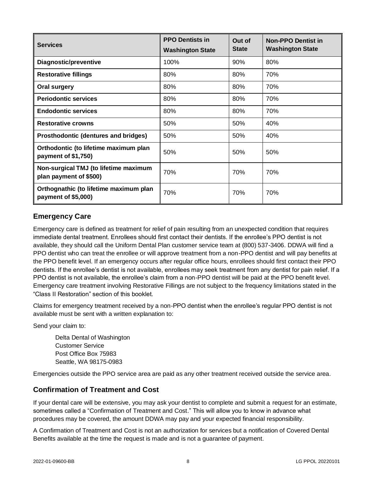| <b>Services</b>                                                 | <b>PPO Dentists in</b>  | Out of       | <b>Non-PPO Dentist in</b> |
|-----------------------------------------------------------------|-------------------------|--------------|---------------------------|
|                                                                 | <b>Washington State</b> | <b>State</b> | <b>Washington State</b>   |
| Diagnostic/preventive                                           | 100%                    | 90%          | 80%                       |
| <b>Restorative fillings</b>                                     | 80%                     | 80%          | 70%                       |
| <b>Oral surgery</b>                                             | 80%                     | 80%          | 70%                       |
| <b>Periodontic services</b>                                     | 80%                     | 80%          | 70%                       |
| <b>Endodontic services</b>                                      | 80%                     | 80%          | 70%                       |
| <b>Restorative crowns</b>                                       | 50%                     | 50%          | 40%                       |
| Prosthodontic (dentures and bridges)                            | 50%                     | 50%          | 40%                       |
| Orthodontic (to lifetime maximum plan<br>payment of \$1,750)    | 50%                     | 50%          | 50%                       |
| Non-surgical TMJ (to lifetime maximum<br>plan payment of \$500) | 70%                     | 70%          | 70%                       |
| Orthognathic (to lifetime maximum plan<br>payment of \$5,000)   | 70%                     | 70%          | 70%                       |

# <span id="page-12-0"></span>**Emergency Care**

Emergency care is defined as treatment for relief of pain resulting from an unexpected condition that requires immediate dental treatment. Enrollees should first contact their dentists. If the enrollee's PPO dentist is not available, they should call the Uniform Dental Plan customer service team at (800) 537-3406. DDWA will find a PPO dentist who can treat the enrollee or will approve treatment from a non-PPO dentist and will pay benefits at the PPO benefit level. If an emergency occurs after regular office hours, enrollees should first contact their PPO dentists. If the enrollee's dentist is not available, enrollees may seek treatment from any dentist for pain relief. If a PPO dentist is not available, the enrollee's claim from a non-PPO dentist will be paid at the PPO benefit level. Emergency care treatment involving Restorative Fillings are not subject to the frequency limitations stated in the "Class II Restoration" section of this booklet.

Claims for emergency treatment received by a non-PPO dentist when the enrollee's regular PPO dentist is not available must be sent with a written explanation to:

Send your claim to:

Delta Dental of Washington Customer Service Post Office Box 75983 Seattle, WA 98175-0983

Emergencies outside the PPO service area are paid as any other treatment received outside the service area.

# <span id="page-12-1"></span>**Confirmation of Treatment and Cost**

If your dental care will be extensive, you may ask your dentist to complete and submit a request for an estimate, sometimes called a "Confirmation of Treatment and Cost." This will allow you to know in advance what procedures may be covered, the amount DDWA may pay and your expected financial responsibility.

A Confirmation of Treatment and Cost is not an authorization for services but a notification of Covered Dental Benefits available at the time the request is made and is not a guarantee of payment.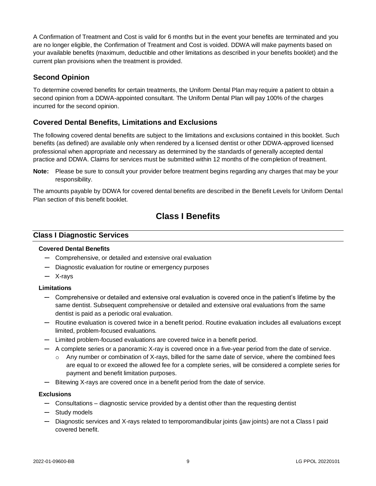A Confirmation of Treatment and Cost is valid for 6 months but in the event your benefits are terminated and you are no longer eligible, the Confirmation of Treatment and Cost is voided. DDWA will make payments based on your available benefits (maximum, deductible and other limitations as described in your benefits booklet) and the current plan provisions when the treatment is provided.

# <span id="page-13-0"></span>**Second Opinion**

To determine covered benefits for certain treatments, the Uniform Dental Plan may require a patient to obtain a second opinion from a DDWA-appointed consultant. The Uniform Dental Plan will pay 100% of the charges incurred for the second opinion.

# <span id="page-13-1"></span>**Covered Dental Benefits, Limitations and Exclusions**

The following covered dental benefits are subject to the limitations and exclusions contained in this booklet. Such benefits (as defined) are available only when rendered by a licensed dentist or other DDWA-approved licensed professional when appropriate and necessary as determined by the standards of generally accepted dental practice and DDWA. Claims for services must be submitted within 12 months of the completion of treatment.

**Note:** Please be sure to consult your provider before treatment begins regarding any charges that may be your responsibility.

<span id="page-13-2"></span>The amounts payable by DDWA for covered dental benefits are described in the Benefit Levels for Uniform Dental Plan section of this benefit booklet.

# **Class I Benefits**

# **Class I Diagnostic Services**

## **Covered Dental Benefits**

- Comprehensive, or detailed and extensive oral evaluation
- Diagnostic evaluation for routine or emergency purposes
- X-rays

## **Limitations**

- Comprehensive or detailed and extensive oral evaluation is covered once in the patient's lifetime by the same dentist. Subsequent comprehensive or detailed and extensive oral evaluations from the same dentist is paid as a periodic oral evaluation.
- Routine evaluation is covered twice in a benefit period. Routine evaluation includes all evaluations except limited, problem-focused evaluations.
- Limited problem-focused evaluations are covered twice in a benefit period.
- A complete series or a panoramic X-ray is covered once in a five-year period from the date of service.
	- $\circ$  Any number or combination of X-rays, billed for the same date of service, where the combined fees are equal to or exceed the allowed fee for a complete series, will be considered a complete series for payment and benefit limitation purposes.
- Bitewing X-rays are covered once in a benefit period from the date of service.

#### **Exclusions**

- Consultations diagnostic service provided by a dentist other than the requesting dentist
- Study models
- Diagnostic services and X-rays related to temporomandibular joints (jaw joints) are not a Class I paid covered benefit.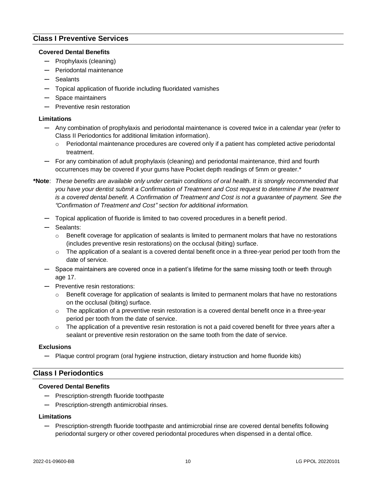# **Class I Preventive Services**

#### **Covered Dental Benefits**

- Prophylaxis (cleaning)
- Periodontal maintenance
- Sealants
- Topical application of fluoride including fluoridated varnishes
- Space maintainers
- Preventive resin restoration

#### **Limitations**

- Any combination of prophylaxis and periodontal maintenance is covered twice in a calendar year (refer to Class II Periodontics for additional limitation information).
	- $\circ$  Periodontal maintenance procedures are covered only if a patient has completed active periodontal treatment.
- For any combination of adult prophylaxis (cleaning) and periodontal maintenance, third and fourth occurrences may be covered if your gums have Pocket depth readings of 5mm or greater.\*
- **\*Note**: *These benefits are available only under certain conditions of oral health. It is strongly recommended that you have your dentist submit a Confirmation of Treatment and Cost request to determine if the treatment is a covered dental benefit. A Confirmation of Treatment and Cost is not a guarantee of payment. See the "Confirmation of Treatment and Cost" section for additional information.*
	- Topical application of fluoride is limited to two covered procedures in a benefit period.
	- Sealants:
		- $\circ$  Benefit coverage for application of sealants is limited to permanent molars that have no restorations (includes preventive resin restorations) on the occlusal (biting) surface.
		- $\circ$  The application of a sealant is a covered dental benefit once in a three-year period per tooth from the date of service.
	- Space maintainers are covered once in a patient's lifetime for the same missing tooth or teeth through age 17.
	- Preventive resin restorations:
		- $\circ$  Benefit coverage for application of sealants is limited to permanent molars that have no restorations on the occlusal (biting) surface.
		- $\circ$  The application of a preventive resin restoration is a covered dental benefit once in a three-year period per tooth from the date of service.
		- $\circ$  The application of a preventive resin restoration is not a paid covered benefit for three years after a sealant or preventive resin restoration on the same tooth from the date of service.

#### **Exclusions**

— Plaque control program (oral hygiene instruction, dietary instruction and home fluoride kits)

## **Class I Periodontics**

#### **Covered Dental Benefits**

- Prescription-strength fluoride toothpaste
- Prescription-strength antimicrobial rinses.

#### **Limitations**

— Prescription-strength fluoride toothpaste and antimicrobial rinse are covered dental benefits following periodontal surgery or other covered periodontal procedures when dispensed in a dental office.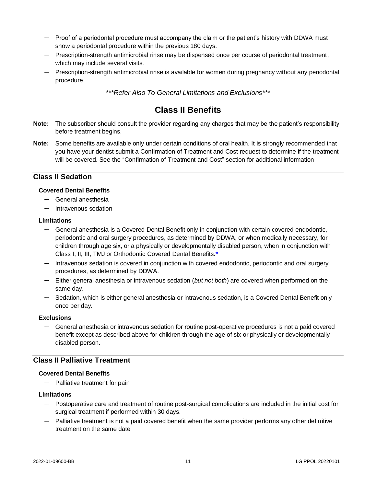- Proof of a periodontal procedure must accompany the claim or the patient's history with DDWA must show a periodontal procedure within the previous 180 days.
- Prescription-strength antimicrobial rinse may be dispensed once per course of periodontal treatment, which may include several visits.
- Prescription-strength antimicrobial rinse is available for women during pregnancy without any periodontal procedure.

*\*\*\*Refer Also To General Limitations and Exclusions\*\*\**

# **Class II Benefits**

- <span id="page-15-0"></span>**Note:** The subscriber should consult the provider regarding any charges that may be the patient's responsibility before treatment begins.
- **Note:** Some benefits are available only under certain conditions of oral health. It is strongly recommended that you have your dentist submit a Confirmation of Treatment and Cost request to determine if the treatment will be covered. See the "Confirmation of Treatment and Cost" section for additional information

# **Class II Sedation**

#### **Covered Dental Benefits**

- General anesthesia
- Intravenous sedation

#### **Limitations**

- General anesthesia is a Covered Dental Benefit only in conjunction with certain covered endodontic, periodontic and oral surgery procedures, as determined by DDWA, or when medically necessary, for children through age six, or a physically or developmentally disabled person, when in conjunction with Class I, II, III, TMJ or Orthodontic Covered Dental Benefits.**\***
- Intravenous sedation is covered in conjunction with covered endodontic, periodontic and oral surgery procedures, as determined by DDWA.
- Either general anesthesia or intravenous sedation (*but not both*) are covered when performed on the same day.
- Sedation, which is either general anesthesia or intravenous sedation, is a Covered Dental Benefit only once per day.

#### **Exclusions**

— General anesthesia or intravenous sedation for routine post-operative procedures is not a paid covered benefit except as described above for children through the age of six or physically or developmentally disabled person.

## **Class II Palliative Treatment**

#### **Covered Dental Benefits**

— Palliative treatment for pain

#### **Limitations**

- Postoperative care and treatment of routine post-surgical complications are included in the initial cost for surgical treatment if performed within 30 days.
- Palliative treatment is not a paid covered benefit when the same provider performs any other definitive treatment on the same date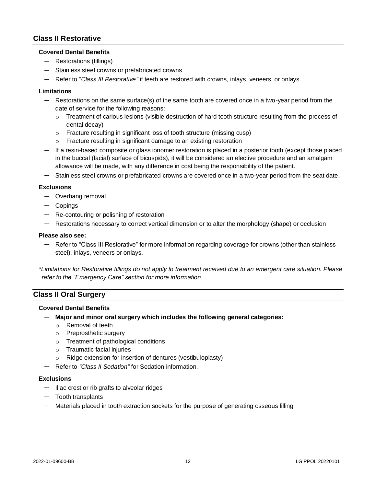## **Class II Restorative**

#### **Covered Dental Benefits**

- Restorations (fillings)
- Stainless steel crowns or prefabricated crowns
- Refer to "*Class III Restorative"* if teeth are restored with crowns, inlays, veneers, or onlays.

#### **Limitations**

- Restorations on the same surface(s) of the same tooth are covered once in a two-year period from the date of service for the following reasons:
	- $\circ$  Treatment of carious lesions (visible destruction of hard tooth structure resulting from the process of dental decay)
	- o Fracture resulting in significant loss of tooth structure (missing cusp)
	- o Fracture resulting in significant damage to an existing restoration
- If a resin-based composite or glass ionomer restoration is placed in a posterior tooth (except those placed in the buccal (facial) surface of bicuspids), it will be considered an elective procedure and an amalgam allowance will be made, with any difference in cost being the responsibility of the patient.
- Stainless steel crowns or prefabricated crowns are covered once in a two-year period from the seat date.

#### **Exclusions**

- Overhang removal
- Copings
- Re-contouring or polishing of restoration
- Restorations necessary to correct vertical dimension or to alter the morphology (shape) or occlusion

#### **Please also see:**

— Refer to "Class III Restorative" for more information regarding coverage for crowns (other than stainless steel), inlays, veneers or onlays.

*\*Limitations for Restorative fillings do not apply to treatment received due to an emergent care situation. Please refer to the "Emergency Care" section for more information.*

# **Class II Oral Surgery**

#### **Covered Dental Benefits**

- **Major and minor oral surgery which includes the following general categories:**
	- o Removal of teeth
	- o Preprosthetic surgery
	- o Treatment of pathological conditions
	- o Traumatic facial injuries
	- o Ridge extension for insertion of dentures (vestibuloplasty)
- Refer to *"Class II Sedation"* for Sedation information.

#### **Exclusions**

- Iliac crest or rib grafts to alveolar ridges
- Tooth transplants
- Materials placed in tooth extraction sockets for the purpose of generating osseous filling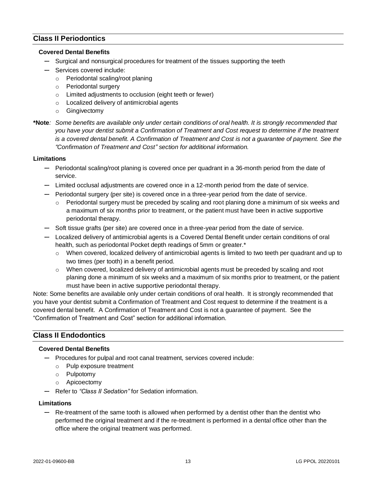# **Class II Periodontics**

#### **Covered Dental Benefits**

- Surgical and nonsurgical procedures for treatment of the tissues supporting the teeth
- Services covered include:
	- o Periodontal scaling/root planing
	- o Periodontal surgery
	- o Limited adjustments to occlusion (eight teeth or fewer)
	- o Localized delivery of antimicrobial agents
	- o Gingivectomy
- **\*Note***: Some benefits are available only under certain conditions of oral health. It is strongly recommended that you have your dentist submit a Confirmation of Treatment and Cost request to determine if the treatment is a covered dental benefit. A Confirmation of Treatment and Cost is not a guarantee of payment. See the "Confirmation of Treatment and Cost" section for additional information.*

#### **Limitations**

- Periodontal scaling/root planing is covered once per quadrant in a 36-month period from the date of service.
- Limited occlusal adjustments are covered once in a 12-month period from the date of service.
- Periodontal surgery (per site) is covered once in a three-year period from the date of service.
	- $\circ$  Periodontal surgery must be preceded by scaling and root planing done a minimum of six weeks and a maximum of six months prior to treatment, or the patient must have been in active supportive periodontal therapy.
- Soft tissue grafts (per site) are covered once in a three-year period from the date of service.
- Localized delivery of antimicrobial agents is a Covered Dental Benefit under certain conditions of oral health, such as periodontal Pocket depth readings of 5mm or greater.\*
	- o When covered, localized delivery of antimicrobial agents is limited to two teeth per quadrant and up to two times (per tooth) in a benefit period.
	- o When covered, localized delivery of antimicrobial agents must be preceded by scaling and root planing done a minimum of six weeks and a maximum of six months prior to treatment, or the patient must have been in active supportive periodontal therapy.

Note: Some benefits are available only under certain conditions of oral health. It is strongly recommended that you have your dentist submit a Confirmation of Treatment and Cost request to determine if the treatment is a covered dental benefit. A Confirmation of Treatment and Cost is not a guarantee of payment. See the "Confirmation of Treatment and Cost" section for additional information.

## **Class II Endodontics**

#### **Covered Dental Benefits**

- Procedures for pulpal and root canal treatment, services covered include:
	- o Pulp exposure treatment
	- o Pulpotomy
	- o Apicoectomy
- Refer to *"Class II Sedation"* for Sedation information.

#### **Limitations**

— Re-treatment of the same tooth is allowed when performed by a dentist other than the dentist who performed the original treatment and if the re-treatment is performed in a dental office other than the office where the original treatment was performed.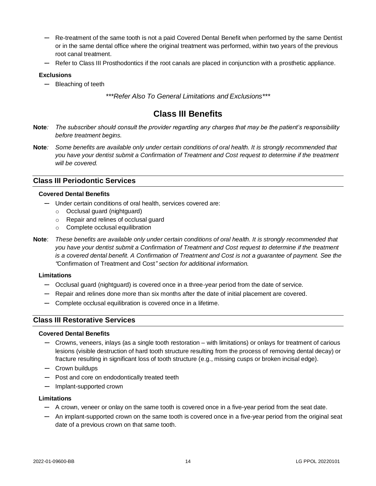- Re-treatment of the same tooth is not a paid Covered Dental Benefit when performed by the same Dentist or in the same dental office where the original treatment was performed, within two years of the previous root canal treatment.
- Refer to Class III Prosthodontics if the root canals are placed in conjunction with a prosthetic appliance.

#### **Exclusions**

— Bleaching of teeth

*\*\*\*Refer Also To General Limitations and Exclusions\*\*\**

# **Class III Benefits**

- <span id="page-18-0"></span>**Note***: The subscriber should consult the provider regarding any charges that may be the patient's responsibility before treatment begins.*
- **Note***: Some benefits are available only under certain conditions of oral health. It is strongly recommended that you have your dentist submit a Confirmation of Treatment and Cost request to determine if the treatment will be covered.*

## **Class III Periodontic Services**

#### **Covered Dental Benefits**

- Under certain conditions of oral health, services covered are:
	- o Occlusal guard (nightguard)
	- o Repair and relines of occlusal guard
	- o Complete occlusal equilibration
- **Note**: *These benefits are available only under certain conditions of oral health. It is strongly recommended that you have your dentist submit a Confirmation of Treatment and Cost request to determine if the treatment is a covered dental benefit. A Confirmation of Treatment and Cost is not a guarantee of payment. See the "*Confirmation of Treatment and Cost*" section for additional information.*

#### **Limitations**

- Occlusal guard (nightguard) is covered once in a three-year period from the date of service.
- Repair and relines done more than six months after the date of initial placement are covered.
- Complete occlusal equilibration is covered once in a lifetime.

## **Class III Restorative Services**

#### **Covered Dental Benefits**

- Crowns, veneers, inlays (as a single tooth restoration with limitations) or onlays for treatment of carious lesions (visible destruction of hard tooth structure resulting from the process of removing dental decay) or fracture resulting in significant loss of tooth structure (e.g., missing cusps or broken incisal edge).
- Crown buildups
- Post and core on endodontically treated teeth
- Implant-supported crown

#### **Limitations**

- A crown, veneer or onlay on the same tooth is covered once in a five-year period from the seat date.
- An implant-supported crown on the same tooth is covered once in a five-year period from the original seat date of a previous crown on that same tooth.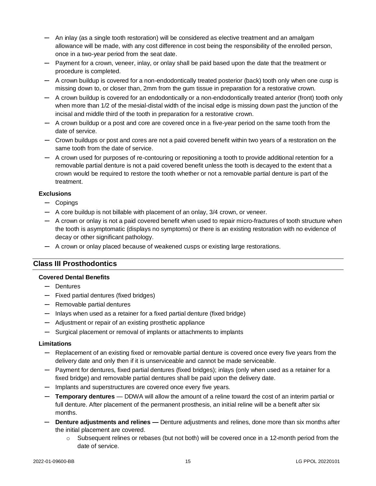- An inlay (as a single tooth restoration) will be considered as elective treatment and an amalgam allowance will be made, with any cost difference in cost being the responsibility of the enrolled person, once in a two-year period from the seat date.
- Payment for a crown, veneer, inlay, or onlay shall be paid based upon the date that the treatment or procedure is completed.
- A crown buildup is covered for a non-endodontically treated posterior (back) tooth only when one cusp is missing down to, or closer than, 2mm from the gum tissue in preparation for a restorative crown.
- A crown buildup is covered for an endodontically or a non-endodontically treated anterior (front) tooth only when more than 1/2 of the mesial-distal width of the incisal edge is missing down past the junction of the incisal and middle third of the tooth in preparation for a restorative crown.
- A crown buildup or a post and core are covered once in a five-year period on the same tooth from the date of service.
- Crown buildups or post and cores are not a paid covered benefit within two years of a restoration on the same tooth from the date of service.
- A crown used for purposes of re-contouring or repositioning a tooth to provide additional retention for a removable partial denture is not a paid covered benefit unless the tooth is decayed to the extent that a crown would be required to restore the tooth whether or not a removable partial denture is part of the treatment.

#### **Exclusions**

- Copings
- A core buildup is not billable with placement of an onlay, 3/4 crown, or veneer.
- A crown or onlay is not a paid covered benefit when used to repair micro-fractures of tooth structure when the tooth is asymptomatic (displays no symptoms) or there is an existing restoration with no evidence of decay or other significant pathology.
- A crown or onlay placed because of weakened cusps or existing large restorations.

# **Class III Prosthodontics**

#### **Covered Dental Benefits**

- Dentures
- Fixed partial dentures (fixed bridges)
- Removable partial dentures
- Inlays when used as a retainer for a fixed partial denture (fixed bridge)
- Adjustment or repair of an existing prosthetic appliance
- Surgical placement or removal of implants or attachments to implants

#### **Limitations**

- Replacement of an existing fixed or removable partial denture is covered once every five years from the delivery date and only then if it is unserviceable and cannot be made serviceable.
- Payment for dentures, fixed partial dentures (fixed bridges); inlays (only when used as a retainer for a fixed bridge) and removable partial dentures shall be paid upon the delivery date.
- Implants and superstructures are covered once every five years.
- **Temporary dentures** DDWA will allow the amount of a reline toward the cost of an interim partial or full denture. After placement of the permanent prosthesis, an initial reline will be a benefit after six months.
- **Denture adjustments and relines —** Denture adjustments and relines, done more than six months after the initial placement are covered.
	- $\circ$  Subsequent relines or rebases (but not both) will be covered once in a 12-month period from the date of service.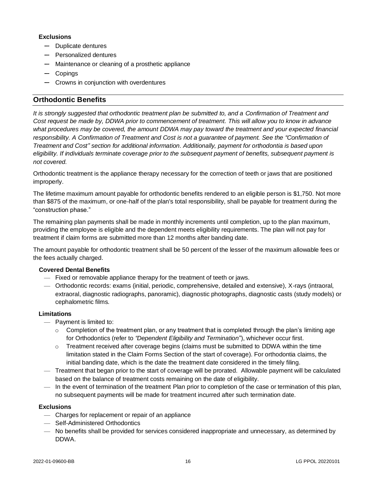## **Exclusions**

- Duplicate dentures
- Personalized dentures
- Maintenance or cleaning of a prosthetic appliance
- Copings
- Crowns in conjunction with overdentures

# <span id="page-20-0"></span>**Orthodontic Benefits**

*It is strongly suggested that orthodontic treatment plan be submitted to, and a Confirmation of Treatment and Cost request be made by, DDWA prior to commencement of treatment. This will allow you to know in advance*  what procedures may be covered, the amount DDWA may pay toward the treatment and your expected financial *responsibility. A Confirmation of Treatment and Cost is not a guarantee of payment. See the "Confirmation of Treatment and Cost" section for additional information. Additionally, payment for orthodontia is based upon eligibility. If individuals terminate coverage prior to the subsequent payment of benefits, subsequent payment is not covered.*

Orthodontic treatment is the appliance therapy necessary for the correction of teeth or jaws that are positioned improperly.

The lifetime maximum amount payable for orthodontic benefits rendered to an eligible person is \$1,750. Not more than \$875 of the maximum, or one-half of the plan's total responsibility, shall be payable for treatment during the "construction phase."

The remaining plan payments shall be made in monthly increments until completion, up to the plan maximum, providing the employee is eligible and the dependent meets eligibility requirements. The plan will not pay for treatment if claim forms are submitted more than 12 months after banding date.

The amount payable for orthodontic treatment shall be 50 percent of the lesser of the maximum allowable fees or the fees actually charged.

## **Covered Dental Benefits**

- Fixed or removable appliance therapy for the treatment of teeth or jaws.
- Orthodontic records: exams (initial, periodic, comprehensive, detailed and extensive), X-rays (intraoral, extraoral, diagnostic radiographs, panoramic), diagnostic photographs, diagnostic casts (study models) or cephalometric films.

## **Limitations**

- Payment is limited to:
	- $\circ$  Completion of the treatment plan, or any treatment that is completed through the plan's limiting age for Orthodontics (refer to *"Dependent Eligibility and Termination*"), whichever occur first.
	- $\circ$  Treatment received after coverage begins (claims must be submitted to DDWA within the time limitation stated in the Claim Forms Section of the start of coverage). For orthodontia claims, the initial banding date, which is the date the treatment date considered in the timely filing.
- Treatment that began prior to the start of coverage will be prorated. Allowable payment will be calculated based on the balance of treatment costs remaining on the date of eligibility.
- In the event of termination of the treatment Plan prior to completion of the case or termination of this plan, no subsequent payments will be made for treatment incurred after such termination date.

## **Exclusions**

- Charges for replacement or repair of an appliance
- Self-Administered Orthodontics
- No benefits shall be provided for services considered inappropriate and unnecessary, as determined by DDWA.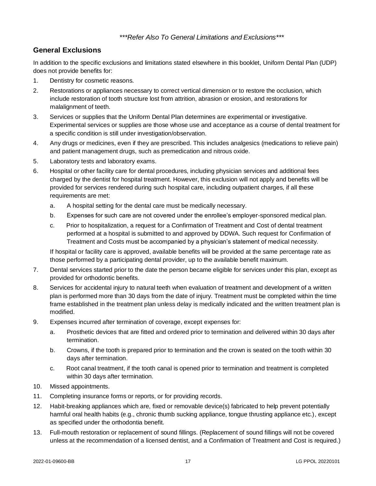# *\*\*\*Refer Also To General Limitations and Exclusions\*\*\**

# <span id="page-21-0"></span>**General Exclusions**

In addition to the specific exclusions and limitations stated elsewhere in this booklet, Uniform Dental Plan (UDP) does not provide benefits for:

- 1. Dentistry for cosmetic reasons.
- 2. Restorations or appliances necessary to correct vertical dimension or to restore the occlusion, which include restoration of tooth structure lost from attrition, abrasion or erosion, and restorations for malalignment of teeth.
- 3. Services or supplies that the Uniform Dental Plan determines are experimental or investigative. Experimental services or supplies are those whose use and acceptance as a course of dental treatment for a specific condition is still under investigation/observation.
- 4. Any drugs or medicines, even if they are prescribed. This includes analgesics (medications to relieve pain) and patient management drugs, such as premedication and nitrous oxide.
- 5. Laboratory tests and laboratory exams.
- 6. Hospital or other facility care for dental procedures, including physician services and additional fees charged by the dentist for hospital treatment. However, this exclusion will not apply and benefits will be provided for services rendered during such hospital care, including outpatient charges, if all these requirements are met:
	- a. A hospital setting for the dental care must be medically necessary.
	- b. Expenses for such care are not covered under the enrollee's employer-sponsored medical plan.
	- c. Prior to hospitalization, a request for a Confirmation of Treatment and Cost of dental treatment performed at a hospital is submitted to and approved by DDWA. Such request for Confirmation of Treatment and Costs must be accompanied by a physician's statement of medical necessity.

If hospital or facility care is approved, available benefits will be provided at the same percentage rate as those performed by a participating dental provider, up to the available benefit maximum.

- 7. Dental services started prior to the date the person became eligible for services under this plan, except as provided for orthodontic benefits.
- 8. Services for accidental injury to natural teeth when evaluation of treatment and development of a written plan is performed more than 30 days from the date of injury. Treatment must be completed within the time frame established in the treatment plan unless delay is medically indicated and the written treatment plan is modified.
- 9. Expenses incurred after termination of coverage, except expenses for:
	- a. Prosthetic devices that are fitted and ordered prior to termination and delivered within 30 days after termination.
	- b. Crowns, if the tooth is prepared prior to termination and the crown is seated on the tooth within 30 days after termination.
	- c. Root canal treatment, if the tooth canal is opened prior to termination and treatment is completed within 30 days after termination.
- 10. Missed appointments.
- 11. Completing insurance forms or reports, or for providing records.
- 12. Habit-breaking appliances which are, fixed or removable device(s) fabricated to help prevent potentially harmful oral health habits (e.g., chronic thumb sucking appliance, tongue thrusting appliance etc.), except as specified under the orthodontia benefit.
- 13. Full-mouth restoration or replacement of sound fillings. (Replacement of sound fillings will not be covered unless at the recommendation of a licensed dentist, and a Confirmation of Treatment and Cost is required.)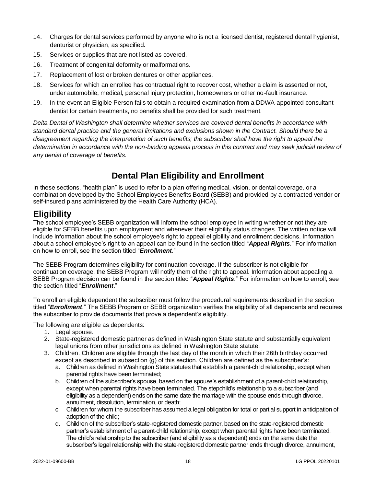- 14. Charges for dental services performed by anyone who is not a licensed dentist, registered dental hygienist, denturist or physician, as specified.
- 15. Services or supplies that are not listed as covered.
- 16. Treatment of congenital deformity or malformations.
- 17. Replacement of lost or broken dentures or other appliances.
- 18. Services for which an enrollee has contractual right to recover cost, whether a claim is asserted or not, under automobile, medical, personal injury protection, homeowners or other no-fault insurance.
- 19. In the event an Eligible Person fails to obtain a required examination from a DDWA-appointed consultant dentist for certain treatments, no benefits shall be provided for such treatment.

*Delta Dental of Washington shall determine whether services are covered dental benefits in accordance with standard dental practice and the general limitations and exclusions shown in the Contract. Should there be a disagreement regarding the interpretation of such benefits; the subscriber shall have the right to appeal the*  determination in accordance with the non-binding appeals process in this contract and may seek judicial review of *any denial of coverage of benefits.*

# **Dental Plan Eligibility and Enrollment**

In these sections, "health plan" is used to refer to a plan offering medical, vision, or dental coverage, or a combination developed by the School Employees Benefits Board (SEBB) and provided by a contracted vendor or self-insured plans administered by the Health Care Authority (HCA).

# <span id="page-22-0"></span>**Eligibility**

The school employee's SEBB organization will inform the school employee in writing whether or not they are eligible for SEBB benefits upon employment and whenever their eligibility status changes. The written notice will include information about the school employee's right to appeal eligibility and enrollment decisions. Information about a school employee's right to an appeal can be found in the section titled "*Appeal Rights*." For information on how to enroll, see the section titled "*Enrollment*."

The SEBB Program determines eligibility for continuation coverage. If the subscriber is not eligible for continuation coverage, the SEBB Program will notify them of the right to appeal. Information about appealing a SEBB Program decision can be found in the section titled "*Appeal Rights*." For information on how to enroll, see the section titled "*Enrollment*."

To enroll an eligible dependent the subscriber must follow the procedural requirements described in the section titled "*Enrollment*." The SEBB Program or SEBB organization verifies the eligibility of all dependents and requires the subscriber to provide documents that prove a dependent's eligibility.

The following are eligible as dependents:

- 1. Legal spouse.
- 2. State-registered domestic partner as defined in Washington State statute and substantially equivalent legal unions from other jurisdictions as defined in Washington State statute.
- 3. Children. Children are eligible through the last day of the month in which their 26th birthday occurred except as described in subsection (g) of this section. Children are defined as the subscriber's:
	- a. Children as defined in Washington State statutes that establish a parent-child relationship, except when parental rights have been terminated:
	- b. Children of the subscriber's spouse, based on the spouse's establishment of a parent-child relationship, except when parental rights have been terminated. The stepchild's relationship to a subscriber (and eligibility as a dependent) ends on the same date the marriage with the spouse ends through divorce, annulment, dissolution, termination, or death;
	- c. Children for whom the subscriber has assumed a legal obligation for total or partial support in anticipation of adoption of the child;
	- d. Children of the subscriber's state-registered domestic partner, based on the state-registered domestic partner's establishment of a parent-child relationship, except when parental rights have been terminated. The child's relationship to the subscriber (and eligibility as a dependent) ends on the same date the subscriber's legal relationship with the state-registered domestic partner ends through divorce, annulment,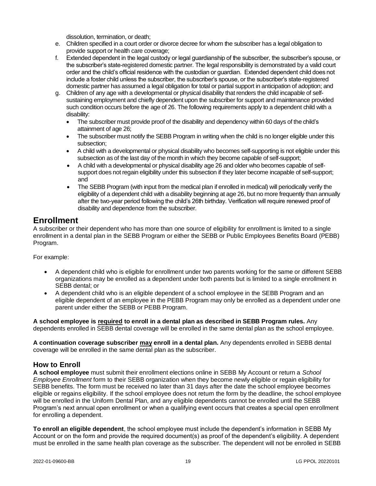dissolution, termination, or death;

- e. Children specified in a court order or divorce decree for whom the subscriber has a legal obligation to provide support or health care coverage;
- f. Extended dependent in the legal custody or legal guardianship of the subscriber, the subscriber's spouse, or the subscriber's state-registered domestic partner. The legal responsibility is demonstrated by a valid court order and the child's official residence with the custodian or guardian. Extended dependent child does not include a foster child unless the subscriber, the subscriber's spouse, or the subscriber's state-registered domestic partner has assumed a legal obligation for total or partial support in anticipation of adoption; and
- g. Children of any age with a developmental or physical disability that renders the child incapable of selfsustaining employment and chiefly dependent upon the subscriber for support and maintenance provided such condition occurs before the age of 26. The following requirements apply to a dependent child with a disability:
	- The subscriber must provide proof of the disability and dependency within 60 days of the child's attainment of age 26;
	- The subscriber must notify the SEBB Program in writing when the child is no longer eligible under this subsection;
	- A child with a developmental or physical disability who becomes self-supporting is not eligible under this subsection as of the last day of the month in which they become capable of self-support;
	- A child with a developmental or physical disability age 26 and older who becomes capable of selfsupport does not regain eligibility under this subsection if they later become incapable of self-support; and
	- The SEBB Program (with input from the medical plan if enrolled in medical) will periodically verify the eligibility of a dependent child with a disability beginning at age 26, but no more frequently than annually after the two-year period following the child's 26th birthday. Verification will require renewed proof of disability and dependence from the subscriber.

# <span id="page-23-0"></span>**Enrollment**

A subscriber or their dependent who has more than one source of eligibility for enrollment is limited to a single enrollment in a dental plan in the SEBB Program or either the SEBB or Public Employees Benefits Board (PEBB) Program.

For example:

- A dependent child who is eligible for enrollment under two parents working for the same or different SEBB organizations may be enrolled as a dependent under both parents but is limited to a single enrollment in SEBB dental; or
- A dependent child who is an eligible dependent of a school employee in the SEBB Program and an eligible dependent of an employee in the PEBB Program may only be enrolled as a dependent under one parent under either the SEBB or PEBB Program.

**A school employee is required to enroll in a dental plan as described in SEBB Program rules.** Any dependents enrolled in SEBB dental coverage will be enrolled in the same dental plan as the school employee.

**A continuation coverage subscriber may enroll in a dental plan.** Any dependents enrolled in SEBB dental coverage will be enrolled in the same dental plan as the subscriber.

# **How to Enroll**

**A school employee** must submit their enrollment elections online in SEBB My Account or return a *School Employee Enrollment* form to their SEBB organization when they become newly eligible or regain eligibility for SEBB benefits. The form must be received no later than 31 days after the date the school employee becomes eligible or regains eligibility. If the school employee does not return the form by the deadline, the school employee will be enrolled in the Uniform Dental Plan, and any eligible dependents cannot be enrolled until the SEBB Program's next annual open enrollment or when a qualifying event occurs that creates a special open enrollment for enrolling a dependent.

**To enroll an eligible dependent**, the school employee must include the dependent's information in SEBB My Account or on the form and provide the required document(s) as proof of the dependent's eligibility. A dependent must be enrolled in the same health plan coverage as the subscriber. The dependent will not be enrolled in SEBB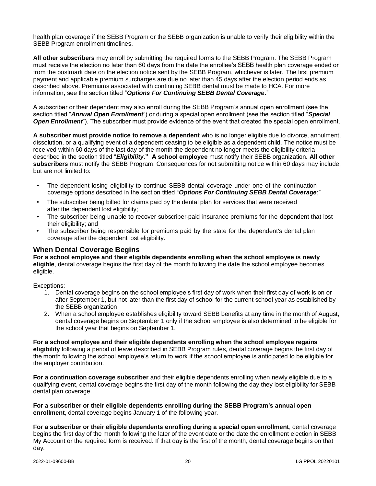health plan coverage if the SEBB Program or the SEBB organization is unable to verify their eligibility within the SEBB Program enrollment timelines.

**All other subscribers** may enroll by submitting the required forms to the SEBB Program. The SEBB Program must receive the election no later than 60 days from the date the enrollee's SEBB health plan coverage ended or from the postmark date on the election notice sent by the SEBB Program, whichever is later. The first premium payment and applicable premium surcharges are due no later than 45 days after the election period ends as described above. Premiums associated with continuing SEBB dental must be made to HCA. For more information, see the section titled "*Options For Continuing SEBB Dental Coverage*."

A subscriber or their dependent may also enroll during the SEBB Program's annual open enrollment (see the section titled "*Annual Open Enrollment*") or during a special open enrollment (see the section titled "*Special Open Enrollment*"). The subscriber must provide evidence of the event that created the special open enrollment.

**A subscriber must provide notice to remove a dependent** who is no longer eligible due to divorce, annulment, dissolution, or a qualifying event of a dependent ceasing to be eligible as a dependent child. The notice must be received within 60 days of the last day of the month the dependent no longer meets the eligibility criteria described in the section titled "*Eligibility***." A school employee** must notify their SEBB organization. **All other subscribers** must notify the SEBB Program. Consequences for not submitting notice within 60 days may include, but are not limited to:

- The dependent losing eligibility to continue SEBB dental coverage under one of the continuation coverage options described in the section titled "*Options For Continuing SEBB Dental Coverage*;"
- The subscriber being billed for claims paid by the dental plan for services that were received after the dependent lost eligibility;
- The subscriber being unable to recover subscriber-paid insurance premiums for the dependent that lost their eligibility; and
- The subscriber being responsible for premiums paid by the state for the dependent's dental plan coverage after the dependent lost eligibility.

# <span id="page-24-0"></span>**When Dental Coverage Begins**

**For a school employee and their eligible dependents enrolling when the school employee is newly eligible**, dental coverage begins the first day of the month following the date the school employee becomes eligible.

Exceptions:

- 1. Dental coverage begins on the school employee's first day of work when their first day of work is on or after September 1, but not later than the first day of school for the current school year as established by the SEBB organization.
- 2. When a school employee establishes eligibility toward SEBB benefits at any time in the month of August, dental coverage begins on September 1 only if the school employee is also determined to be eligible for the school year that begins on September 1.

**For a school employee and their eligible dependents enrolling when the school employee regains eligibility** following a period of leave described in SEBB Program rules, dental coverage begins the first day of the month following the school employee's return to work if the school employee is anticipated to be eligible for the employer contribution.

**For a continuation coverage subscriber** and their eligible dependents enrolling when newly eligible due to a qualifying event, dental coverage begins the first day of the month following the day they lost eligibility for SEBB dental plan coverage.

**For a subscriber or their eligible dependents enrolling during the SEBB Program's annual open enrollment**, dental coverage begins January 1 of the following year.

**For a subscriber or their eligible dependents enrolling during a special open enrollment**, dental coverage begins the first day of the month following the later of the event date or the date the enrollment election in SEBB My Account or the required form is received. If that day is the first of the month, dental coverage begins on that day.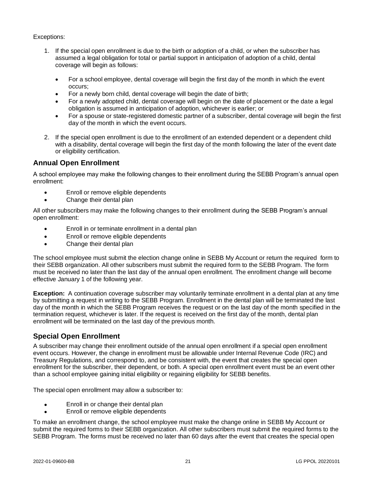## Exceptions:

- 1. If the special open enrollment is due to the birth or adoption of a child, or when the subscriber has assumed a legal obligation for total or partial support in anticipation of adoption of a child, dental coverage will begin as follows:
	- For a school employee, dental coverage will begin the first day of the month in which the event occurs;
	- For a newly born child, dental coverage will begin the date of birth;
	- For a newly adopted child, dental coverage will begin on the date of placement or the date a legal obligation is assumed in anticipation of adoption, whichever is earlier; or
	- For a spouse or state-registered domestic partner of a subscriber, dental coverage will begin the first day of the month in which the event occurs.
- 2. If the special open enrollment is due to the enrollment of an extended dependent or a dependent child with a disability, dental coverage will begin the first day of the month following the later of the event date or eligibility certification.

# <span id="page-25-0"></span>**Annual Open Enrollment**

A school employee may make the following changes to their enrollment during the SEBB Program's annual open enrollment:

- Enroll or remove eligible dependents
- Change their dental plan

All other subscribers may make the following changes to their enrollment during the SEBB Program's annual open enrollment:

- Enroll in or terminate enrollment in a dental plan
- Enroll or remove eligible dependents
- Change their dental plan

The school employee must submit the election change online in SEBB My Account or return the required form to their SEBB organization. All other subscribers must submit the required form to the SEBB Program. The form must be received no later than the last day of the annual open enrollment. The enrollment change will become effective January 1 of the following year.

**Exception:** A continuation coverage subscriber may voluntarily terminate enrollment in a dental plan at any time by submitting a request in writing to the SEBB Program. Enrollment in the dental plan will be terminated the last day of the month in which the SEBB Program receives the request or on the last day of the month specified in the termination request, whichever is later. If the request is received on the first day of the month, dental plan enrollment will be terminated on the last day of the previous month.

# **Special Open Enrollment**

A subscriber may change their enrollment outside of the annual open enrollment if a special open enrollment event occurs. However, the change in enrollment must be allowable under Internal Revenue Code (IRC) and Treasury Regulations, and correspond to, and be consistent with, the event that creates the special open enrollment for the subscriber, their dependent, or both. A special open enrollment event must be an event other than a school employee gaining initial eligibility or regaining eligibility for SEBB benefits.

The special open enrollment may allow a subscriber to:

- Enroll in or change their dental plan
- Enroll or remove eligible dependents

To make an enrollment change, the school employee must make the change online in SEBB My Account or submit the required forms to their SEBB organization. All other subscribers must submit the required forms to the SEBB Program. The forms must be received no later than 60 days after the event that creates the special open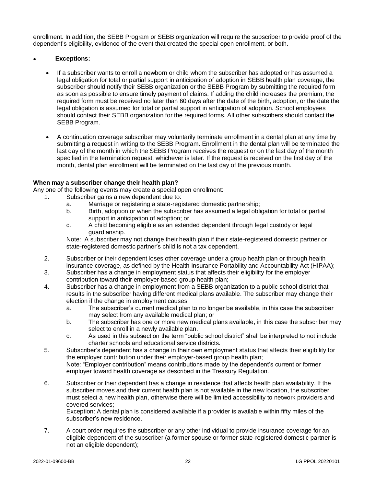enrollment. In addition, the SEBB Program or SEBB organization will require the subscriber to provide proof of the dependent's eligibility, evidence of the event that created the special open enrollment, or both.

#### • **Exceptions:**

- If a subscriber wants to enroll a newborn or child whom the subscriber has adopted or has assumed a legal obligation for total or partial support in anticipation of adoption in SEBB health plan coverage, the subscriber should notify their SEBB organization or the SEBB Program by submitting the required form as soon as possible to ensure timely payment of claims. If adding the child increases the premium, the required form must be received no later than 60 days after the date of the birth, adoption, or the date the legal obligation is assumed for total or partial support in anticipation of adoption. School employees should contact their SEBB organization for the required forms. All other subscribers should contact the SEBB Program.
- A continuation coverage subscriber may voluntarily terminate enrollment in a dental plan at any time by submitting a request in writing to the SEBB Program. Enrollment in the dental plan will be terminated the last day of the month in which the SEBB Program receives the request or on the last day of the month specified in the termination request, whichever is later. If the request is received on the first day of the month, dental plan enrollment will be terminated on the last day of the previous month.

#### **When may a subscriber change their health plan?**

Any one of the following events may create a special open enrollment:

- 1. Subscriber gains a new dependent due to:
	- a. Marriage or registering a state-registered domestic partnership;
	- b. Birth, adoption or when the subscriber has assumed a legal obligation for total or partial support in anticipation of adoption; or
	- c. A child becoming eligible as an extended dependent through legal custody or legal guardianship.

Note: A subscriber may not change their health plan if their state-registered domestic partner or state-registered domestic partner's child is not a tax dependent.

- 2. Subscriber or their dependent loses other coverage under a group health plan or through health insurance coverage, as defined by the Health Insurance Portability and Accountability Act (HIPAA);
- 3. Subscriber has a change in employment status that affects their eligibility for the employer contribution toward their employer-based group health plan;
- 4. Subscriber has a change in employment from a SEBB organization to a public school district that results in the subscriber having different medical plans available. The subscriber may change their election if the change in employment causes:
	- a. The subscriber's current medical plan to no longer be available, in this case the subscriber may select from any available medical plan; or
	- b. The subscriber has one or more new medical plans available, in this case the subscriber may select to enroll in a newly available plan.
	- c. As used in this subsection the term "public school district" shall be interpreted to not include charter schools and educational service districts.
- 5. Subscriber's dependent has a change in their own employment status that affects their eligibility for the employer contribution under their employer-based group health plan; Note: "Employer contribution" means contributions made by the dependent's current or former employer toward health coverage as described in the Treasury Regulation.
- 6. Subscriber or their dependent has a change in residence that affects health plan availability. If the subscriber moves and their current health plan is not available in the new location, the subscriber must select a new health plan, otherwise there will be limited accessibility to network providers and covered services;

Exception: A dental plan is considered available if a provider is available within fifty miles of the subscriber's new residence.

7. A court order requires the subscriber or any other individual to provide insurance coverage for an eligible dependent of the subscriber (a former spouse or former state-registered domestic partner is not an eligible dependent);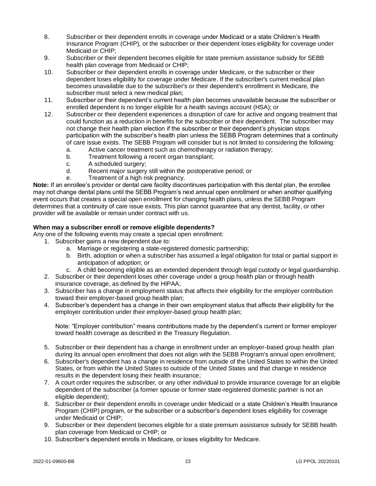- 8. Subscriber or their dependent enrolls in coverage under Medicaid or a state Children's Health Insurance Program (CHIP), or the subscriber or their dependent loses eligibility for coverage under Medicaid or CHIP;
- 9. Subscriber or their dependent becomes eligible for state premium assistance subsidy for SEBB health plan coverage from Medicaid or CHIP;
- 10. Subscriber or their dependent enrolls in coverage under Medicare, or the subscriber or their dependent loses eligibility for coverage under Medicare. If the subscriber's current medical plan becomes unavailable due to the subscriber's or their dependent's enrollment in Medicare, the subscriber must select a new medical plan;
- 11. Subscriber or their dependent's current health plan becomes unavailable because the subscriber or enrolled dependent is no longer eligible for a health savings account (HSA); or
- 12. Subscriber or their dependent experiences a disruption of care for active and ongoing treatment that could function as a reduction in benefits for the subscriber or their dependent. The subscriber may not change their health plan election if the subscriber or their dependent's physician stops participation with the subscriber's health plan unless the SEBB Program determines that a continuity of care issue exists. The SEBB Program will consider but is not limited to considering the following:
	- a. Active cancer treatment such as chemotherapy or radiation therapy;
	- b. Treatment following a recent organ transplant;
	- c. A scheduled surgery;
	- d. Recent major surgery still within the postoperative period; or
	- e. Treatment of a high risk pregnancy.

**Note:** If an enrollee's provider or dental care facility discontinues participation with this dental plan, the enrollee may not change dental plans until the SEBB Program's next annual open enrollment or when another qualifying event occurs that creates a special open enrollment for changing health plans, unless the SEBB Program determines that a continuity of care issue exists. This plan cannot guarantee that any dentist, facility, or other provider will be available or remain under contract with us.

## **When may a subscriber enroll or remove eligible dependents?**

Any one of the following events may create a special open enrollment:

- 1. Subscriber gains a new dependent due to:
	- a. Marriage or registering a state-registered domestic partnership;
	- b. Birth, adoption or when a subscriber has assumed a legal obligation for total or partial support in anticipation of adoption; or
	- c. A child becoming eligible as an extended dependent through legal custody or legal guardianship.
- 2. Subscriber or their dependent loses other coverage under a group health plan or through health insurance coverage, as defined by the HIPAA;
- 3. Subscriber has a change in employment status that affects their eligibility for the employer contribution toward their employer-based group health plan;
- 4. Subscriber's dependent has a change in their own employment status that affects their eligibility for the employer contribution under their employer-based group health plan;

Note: "Employer contribution" means contributions made by the dependent's current or former employer toward health coverage as described in the Treasury Regulation.

- 5. Subscriber or their dependent has a change in enrollment under an employer-based group health plan during its annual open enrollment that does not align with the SEBB Program's annual open enrollment;
- 6. Subscriber's dependent has a change in residence from outside of the United States to within the United States, or from within the United States to outside of the United States and that change in residence results in the dependent losing their health insurance;
- 7. A court order requires the subscriber, or any other individual to provide insurance coverage for an eligible dependent of the subscriber (a former spouse or former state-registered domestic partner is not an eligible dependent);
- 8. Subscriber or their dependent enrolls in coverage under Medicaid or a state Children's Health Insurance Program (CHIP) program, or the subscriber or a subscriber's dependent loses eligibility for coverage under Medicaid or CHIP;
- 9. Subscriber or their dependent becomes eligible for a state premium assistance subsidy for SEBB health plan coverage from Medicaid or CHIP; or
- 10. Subscriber's dependent enrolls in Medicare, or loses eligibility for Medicare.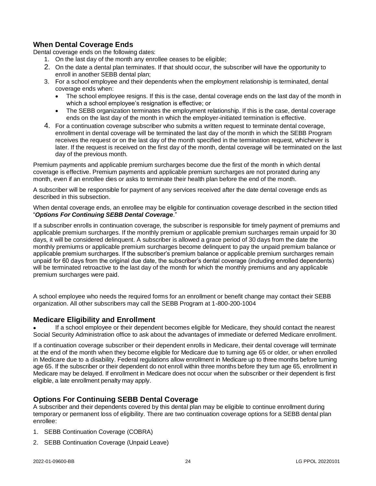# <span id="page-28-0"></span>**When Dental Coverage Ends**

Dental coverage ends on the following dates:

- 1. On the last day of the month any enrollee ceases to be eligible;
- 2. On the date a dental plan terminates. If that should occur, the subscriber will have the opportunity to enroll in another SEBB dental plan;
- 3. For a school employee and their dependents when the employment relationship is terminated, dental coverage ends when:
	- The school employee resigns. If this is the case, dental coverage ends on the last day of the month in which a school employee's resignation is effective; or
	- The SEBB organization terminates the employment relationship. If this is the case, dental coverage ends on the last day of the month in which the employer-initiated termination is effective.
- 4. For a continuation coverage subscriber who submits a written request to terminate dental coverage, enrollment in dental coverage will be terminated the last day of the month in which the SEBB Program receives the request or on the last day of the month specified in the termination request, whichever is later. If the request is received on the first day of the month, dental coverage will be terminated on the last day of the previous month.

Premium payments and applicable premium surcharges become due the first of the month in which dental coverage is effective. Premium payments and applicable premium surcharges are not prorated during any month, even if an enrollee dies or asks to terminate their health plan before the end of the month.

A subscriber will be responsible for payment of any services received after the date dental coverage ends as described in this subsection.

When dental coverage ends, an enrollee may be eligible for continuation coverage described in the section titled "*Options For Continuing SEBB Dental Coverage*."

If a subscriber enrolls in continuation coverage, the subscriber is responsible for timely payment of premiums and applicable premium surcharges. If the monthly premium or applicable premium surcharges remain unpaid for 30 days, it will be considered delinquent. A subscriber is allowed a grace period of 30 days from the date the monthly premiums or applicable premium surcharges become delinquent to pay the unpaid premium balance or applicable premium surcharges. If the subscriber's premium balance or applicable premium surcharges remain unpaid for 60 days from the original due date, the subscriber's dental coverage (including enrolled dependents) will be terminated retroactive to the last day of the month for which the monthly premiums and any applicable premium surcharges were paid.

A school employee who needs the required forms for an enrollment or benefit change may contact their SEBB organization. All other subscribers may call the SEBB Program at 1-800-200-1004

# **Medicare Eligibility and Enrollment**

If a school employee or their dependent becomes eligible for Medicare, they should contact the nearest Social Security Administration office to ask about the advantages of immediate or deferred Medicare enrollment.

If a continuation coverage subscriber or their dependent enrolls in Medicare, their dental coverage will terminate at the end of the month when they become eligible for Medicare due to turning age 65 or older, or when enrolled in Medicare due to a disability. Federal regulations allow enrollment in Medicare up to three months before turning age 65. If the subscriber or their dependent do not enroll within three months before they turn age 65, enrollment in Medicare may be delayed. If enrollment in Medicare does not occur when the subscriber or their dependent is first eligible, a late enrollment penalty may apply.

# **Options For Continuing SEBB Dental Coverage**

A subscriber and their dependents covered by this dental plan may be eligible to continue enrollment during temporary or permanent loss of eligibility. There are two continuation coverage options for a SEBB dental plan enrollee:

- 1. SEBB Continuation Coverage (COBRA)
- 2. SEBB Continuation Coverage (Unpaid Leave)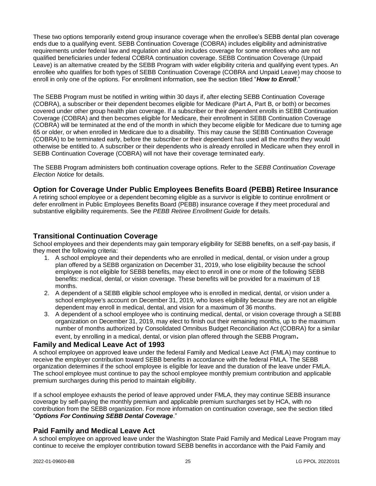These two options temporarily extend group insurance coverage when the enrollee's SEBB dental plan coverage ends due to a qualifying event. SEBB Continuation Coverage (COBRA) includes eligibility and administrative requirements under federal law and regulation and also includes coverage for some enrollees who are not qualified beneficiaries under federal COBRA continuation coverage. SEBB Continuation Coverage (Unpaid Leave) is an alternative created by the SEBB Program with wider eligibility criteria and qualifying event types. An enrollee who qualifies for both types of SEBB Continuation Coverage (COBRA and Unpaid Leave) may choose to enroll in only one of the options. For enrollment information, see the section titled "*How to Enroll*."

The SEBB Program must be notified in writing within 30 days if, after electing SEBB Continuation Coverage (COBRA), a subscriber or their dependent becomes eligible for Medicare (Part A, Part B, or both) or becomes covered under other group health plan coverage. If a subscriber or their dependent enrolls in SEBB Continuation Coverage (COBRA) and then becomes eligible for Medicare, their enrollment in SEBB Continuation Coverage (COBRA) will be terminated at the end of the month in which they become eligible for Medicare due to turning age 65 or older, or when enrolled in Medicare due to a disability. This may cause the SEBB Continuation Coverage (COBRA) to be terminated early, before the subscriber or their dependent has used all the months they would otherwise be entitled to. A subscriber or their dependents who is already enrolled in Medicare when they enroll in SEBB Continuation Coverage (COBRA) will not have their coverage terminated early.

The SEBB Program administers both continuation coverage options. Refer to the *SEBB Continuation Coverage Election Notice* for details.

# **Option for Coverage Under Public Employees Benefits Board (PEBB) Retiree Insurance**

A retiring school employee or a dependent becoming eligible as a survivor is eligible to continue enrollment or defer enrollment in Public Employees Benefits Board (PEBB) insurance coverage if they meet procedural and substantive eligibility requirements. See the *PEBB Retiree Enrollment Guide* for details.

## **Transitional Continuation Coverage**

School employees and their dependents may gain temporary eligibility for SEBB benefits, on a self-pay basis, if they meet the following criteria:

- 1. A school employee and their dependents who are enrolled in medical, dental, or vision under a group plan offered by a SEBB organization on December 31, 2019, who lose eligibility because the school employee is not eligible for SEBB benefits, may elect to enroll in one or more of the following SEBB benefits: medical, dental, or vision coverage. These benefits will be provided for a maximum of 18 months.
- 2. A dependent of a SEBB eligible school employee who is enrolled in medical, dental, or vision under a school employee's account on December 31, 2019, who loses eligibility because they are not an eligible dependent may enroll in medical, dental, and vision for a maximum of 36 months.
- 3. A dependent of a school employee who is continuing medical, dental, or vision coverage through a SEBB organization on December 31, 2019, may elect to finish out their remaining months, up to the maximum number of months authorized by Consolidated Omnibus Budget Reconciliation Act (COBRA) for a similar

event, by enrolling in a medical, dental, or vision plan offered through the SEBB Program**.**

## **Family and Medical Leave Act of 1993**

A school employee on approved leave under the federal Family and Medical Leave Act (FMLA) may continue to receive the employer contribution toward SEBB benefits in accordance with the federal FMLA. The SEBB organization determines if the school employee is eligible for leave and the duration of the leave under FMLA. The school employee must continue to pay the school employee monthly premium contribution and applicable premium surcharges during this period to maintain eligibility.

If a school employee exhausts the period of leave approved under FMLA, they may continue SEBB insurance coverage by self-paying the monthly premium and applicable premium surcharges set by HCA, with no contribution from the SEBB organization. For more information on continuation coverage, see the section titled "*Options For Continuing SEBB Dental Coverage*."

# **Paid Family and Medical Leave Act**

A school employee on approved leave under the Washington State Paid Family and Medical Leave Program may continue to receive the employer contribution toward SEBB benefits in accordance with the Paid Family and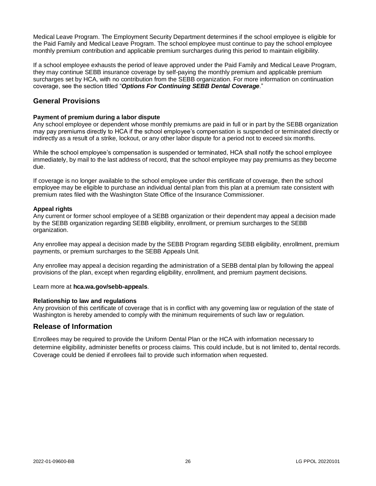Medical Leave Program. The Employment Security Department determines if the school employee is eligible for the Paid Family and Medical Leave Program. The school employee must continue to pay the school employee monthly premium contribution and applicable premium surcharges during this period to maintain eligibility.

If a school employee exhausts the period of leave approved under the Paid Family and Medical Leave Program, they may continue SEBB insurance coverage by self-paying the monthly premium and applicable premium surcharges set by HCA, with no contribution from the SEBB organization. For more information on continuation coverage, see the section titled "*Options For Continuing SEBB Dental Coverage*."

# **General Provisions**

#### **Payment of premium during a labor dispute**

Any school employee or dependent whose monthly premiums are paid in full or in part by the SEBB organization may pay premiums directly to HCA if the school employee's compensation is suspended or terminated directly or indirectly as a result of a strike, lockout, or any other labor dispute for a period not to exceed six months.

While the school employee's compensation is suspended or terminated, HCA shall notify the school employee immediately, by mail to the last address of record, that the school employee may pay premiums as they become due.

If coverage is no longer available to the school employee under this certificate of coverage, then the school employee may be eligible to purchase an individual dental plan from this plan at a premium rate consistent with premium rates filed with the Washington State Office of the Insurance Commissioner.

#### **Appeal rights**

Any current or former school employee of a SEBB organization or their dependent may appeal a decision made by the SEBB organization regarding SEBB eligibility, enrollment, or premium surcharges to the SEBB organization.

Any enrollee may appeal a decision made by the SEBB Program regarding SEBB eligibility, enrollment, premium payments, or premium surcharges to the SEBB Appeals Unit.

Any enrollee may appeal a decision regarding the administration of a SEBB dental plan by following the appeal provisions of the plan, except when regarding eligibility, enrollment, and premium payment decisions.

Learn more at **hca.wa.gov/sebb-appeals**.

#### **Relationship to law and regulations**

Any provision of this certificate of coverage that is in conflict with any governing law or regulation of the state of Washington is hereby amended to comply with the minimum requirements of such law or regulation.

## **Release of Information**

Enrollees may be required to provide the Uniform Dental Plan or the HCA with information necessary to determine eligibility, administer benefits or process claims. This could include, but is not limited to, dental records. Coverage could be denied if enrollees fail to provide such information when requested.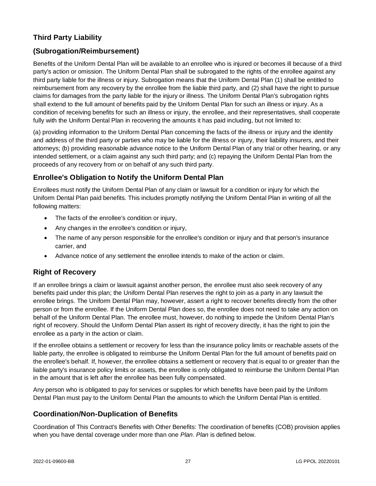# <span id="page-31-0"></span>**Third Party Liability**

# <span id="page-31-1"></span>**(Subrogation/Reimbursement)**

Benefits of the Uniform Dental Plan will be available to an enrollee who is injured or becomes ill because of a third party's action or omission. The Uniform Dental Plan shall be subrogated to the rights of the enrollee against any third party liable for the illness or injury. Subrogation means that the Uniform Dental Plan (1) shall be entitled to reimbursement from any recovery by the enrollee from the liable third party, and (2) shall have the right to pursue claims for damages from the party liable for the injury or illness. The Uniform Dental Plan's subrogation rights shall extend to the full amount of benefits paid by the Uniform Dental Plan for such an illness or injury. As a condition of receiving benefits for such an illness or injury, the enrollee, and their representatives, shall cooperate fully with the Uniform Dental Plan in recovering the amounts it has paid including, but not limited to:

(a) providing information to the Uniform Dental Plan concerning the facts of the illness or injury and the identity and address of the third party or parties who may be liable for the illness or injury, their liability insurers, and their attorneys; (b) providing reasonable advance notice to the Uniform Dental Plan of any trial or other hearing, or any intended settlement, or a claim against any such third party; and (c) repaying the Uniform Dental Plan from the proceeds of any recovery from or on behalf of any such third party.

# **Enrollee's Obligation to Notify the Uniform Dental Plan**

Enrollees must notify the Uniform Dental Plan of any claim or lawsuit for a condition or injury for which the Uniform Dental Plan paid benefits. This includes promptly notifying the Uniform Dental Plan in writing of all the following matters:

- The facts of the enrollee's condition or injury,
- Any changes in the enrollee's condition or injury,
- The name of any person responsible for the enrollee's condition or injury and that person's insurance carrier, and
- Advance notice of any settlement the enrollee intends to make of the action or claim.

# **Right of Recovery**

If an enrollee brings a claim or lawsuit against another person, the enrollee must also seek recovery of any benefits paid under this plan; the Uniform Dental Plan reserves the right to join as a party in any lawsuit the enrollee brings. The Uniform Dental Plan may, however, assert a right to recover benefits directly from the other person or from the enrollee. If the Uniform Dental Plan does so, the enrollee does not need to take any action on behalf of the Uniform Dental Plan. The enrollee must, however, do nothing to impede the Uniform Dental Plan's right of recovery. Should the Uniform Dental Plan assert its right of recovery directly, it has the right to join the enrollee as a party in the action or claim.

If the enrollee obtains a settlement or recovery for less than the insurance policy limits or reachable assets of the liable party, the enrollee is obligated to reimburse the Uniform Dental Plan for the full amount of benefits paid on the enrollee's behalf. If, however, the enrollee obtains a settlement or recovery that is equal to or greater than the liable party's insurance policy limits or assets, the enrollee is only obligated to reimburse the Uniform Dental Plan in the amount that is left after the enrollee has been fully compensated.

Any person who is obligated to pay for services or supplies for which benefits have been paid by the Uniform Dental Plan must pay to the Uniform Dental Plan the amounts to which the Uniform Dental Plan is entitled.

# <span id="page-31-2"></span>**Coordination/Non-Duplication of Benefits**

Coordination of This Contract's Benefits with Other Benefits: The coordination of benefits (COB) provision applies when you have dental coverage under more than one *Plan*. *Plan* is defined below.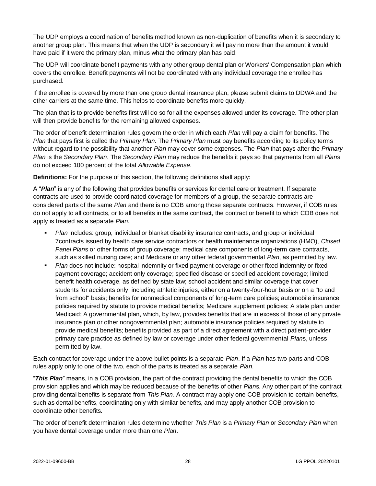The UDP employs a coordination of benefits method known as non-duplication of benefits when it is secondary to another group plan. This means that when the UDP is secondary it will pay no more than the amount it would have paid if it were the primary plan, minus what the primary plan has paid.

The UDP will coordinate benefit payments with any other group dental plan or Workers' Compensation plan which covers the enrollee. Benefit payments will not be coordinated with any individual coverage the enrollee has purchased.

If the enrollee is covered by more than one group dental insurance plan, please submit claims to DDWA and the other carriers at the same time. This helps to coordinate benefits more quickly.

The plan that is to provide benefits first will do so for all the expenses allowed under its coverage. The other plan will then provide benefits for the remaining allowed expenses.

The order of benefit determination rules govern the order in which each *Plan* will pay a claim for benefits. The *Plan* that pays first is called the *Primary Plan*. The *Primary Plan* must pay benefits according to its policy terms without regard to the possibility that another *Plan* may cover some expenses. The *Plan* that pays after the *Primary Plan* is the *Secondary Plan*. The *Secondary Plan* may reduce the benefits it pays so that payments from all *Plan*s do not exceed 100 percent of the total *Allowable Expense*.

**Definitions:** For the purpose of this section, the following definitions shall apply:

A "*Plan*" is any of the following that provides benefits or services for dental care or treatment. If separate contracts are used to provide coordinated coverage for members of a group, the separate contracts are considered parts of the same *Plan* and there is no COB among those separate contracts. However, if COB rules do not apply to all contracts, or to all benefits in the same contract, the contract or benefit to which COB does not apply is treated as a separate *Plan*.

- *Plan* includes: group, individual or blanket disability insurance contracts, and group or individual 7contracts issued by health care service contractors or health maintenance organizations (HMO), *Closed Panel Plan*s or other forms of group coverage; medical care components of long-term care contracts, such as skilled nursing care; and Medicare or any other federal governmental *Plan*, as permitted by law.
- *Plan* does not include: hospital indemnity or fixed payment coverage or other fixed indemnity or fixed payment coverage; accident only coverage; specified disease or specified accident coverage; limited benefit health coverage, as defined by state law; school accident and similar coverage that cover students for accidents only, including athletic injuries, either on a twenty-four-hour basis or on a "to and from school" basis; benefits for nonmedical components of long-term care policies; automobile insurance policies required by statute to provide medical benefits; Medicare supplement policies; A state plan under Medicaid; A governmental plan, which, by law, provides benefits that are in excess of those of any private insurance plan or other nongovernmental plan; automobile insurance policies required by statute to provide medical benefits; benefits provided as part of a direct agreement with a direct patient-provider primary care practice as defined by law or coverage under other federal governmental *Plan*s, unless permitted by law.

Each contract for coverage under the above bullet points is a separate *Plan*. If a *Plan* has two parts and COB rules apply only to one of the two, each of the parts is treated as a separate *Plan*.

"*This Plan*" means, in a COB provision, the part of the contract providing the dental benefits to which the COB provision applies and which may be reduced because of the benefits of other *Plan*s. Any other part of the contract providing dental benefits is separate from *This Plan*. A contract may apply one COB provision to certain benefits, such as dental benefits, coordinating only with similar benefits, and may apply another COB provision to coordinate other benefits.

The order of benefit determination rules determine whether *This Plan* is a *Primary Plan* or *Secondary Plan* when you have dental coverage under more than one *Plan*.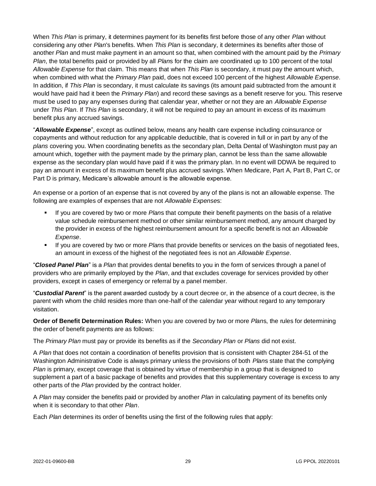When *This Plan* is primary, it determines payment for its benefits first before those of any other *Plan* without considering any other *Plan*'s benefits. When *This Plan* is secondary, it determines its benefits after those of another *Plan* and must make payment in an amount so that, when combined with the amount paid by the *Primary Plan*, the total benefits paid or provided by all *Plan*s for the claim are coordinated up to 100 percent of the total *Allowable Expense* for that claim. This means that when *This Plan* is secondary, it must pay the amount which, when combined with what the *Primary Plan* paid, does not exceed 100 percent of the highest *Allowable Expense*. In addition, if *This Plan* is secondary, it must calculate its savings (its amount paid subtracted from the amount it would have paid had it been the *Primary Plan*) and record these savings as a benefit reserve for you. This reserve must be used to pay any expenses during that calendar year, whether or not they are an *Allowable Expense* under *This Plan*. If *This Plan* is secondary, it will not be required to pay an amount in excess of its maximum benefit plus any accrued savings.

"*Allowable Expense*", except as outlined below, means any health care expense including coinsurance or copayments and without reduction for any applicable deductible, that is covered in full or in part by any of the *plans* covering you. When coordinating benefits as the secondary plan, Delta Dental of Washington must pay an amount which, together with the payment made by the primary plan, cannot be less than the same allowable expense as the secondary plan would have paid if it was the primary plan. In no event will DDWA be required to pay an amount in excess of its maximum benefit plus accrued savings. When Medicare, Part A, Part B, Part C, or Part D is primary, Medicare's allowable amount is the allowable expense.

An expense or a portion of an expense that is not covered by any of the plans is not an allowable expense. The following are examples of expenses that are not *Allowable Expense*s:

- If you are covered by two or more *Plan*s that compute their benefit payments on the basis of a relative value schedule reimbursement method or other similar reimbursement method, any amount charged by the provider in excess of the highest reimbursement amount for a specific benefit is not an *Allowable Expense*.
- If you are covered by two or more *Plan*s that provide benefits or services on the basis of negotiated fees, an amount in excess of the highest of the negotiated fees is not an *Allowable Expense*.

"*Closed Panel Plan*" is a *Plan* that provides dental benefits to you in the form of services through a panel of providers who are primarily employed by the *Plan*, and that excludes coverage for services provided by other providers, except in cases of emergency or referral by a panel member.

"*Custodial Parent*" is the parent awarded custody by a court decree or, in the absence of a court decree, is the parent with whom the child resides more than one-half of the calendar year without regard to any temporary visitation.

**Order of Benefit Determination Rules:** When you are covered by two or more *Plan*s, the rules for determining the order of benefit payments are as follows:

The *Primary Plan* must pay or provide its benefits as if the *Secondary Plan* or *Plans* did not exist.

A *Plan* that does not contain a coordination of benefits provision that is consistent with Chapter 284-51 of the Washington Administrative Code is always primary unless the provisions of both *Plan*s state that the complying *Plan* is primary, except coverage that is obtained by virtue of membership in a group that is designed to supplement a part of a basic package of benefits and provides that this supplementary coverage is excess to any other parts of the *Plan* provided by the contract holder.

A *Plan* may consider the benefits paid or provided by another *Plan* in calculating payment of its benefits only when it is secondary to that other *Plan*.

Each *Plan* determines its order of benefits using the first of the following rules that apply: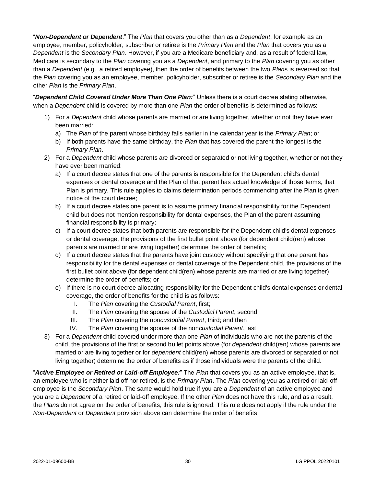"*Non-Dependent or Dependent*:" The *Plan* that covers you other than as a *Dependent*, for example as an employee, member, policyholder, subscriber or retiree is the *Primary Plan* and the *Plan* that covers you as a *Dependent* is the *Secondary Plan*. However, if you are a Medicare beneficiary and, as a result of federal law, Medicare is secondary to the *Plan* covering you as a *Dependent*, and primary to the *Plan* covering you as other than a *Dependent* (e.g., a retired employee), then the order of benefits between the two *Plan*s is reversed so that the *Plan* covering you as an employee, member, policyholder, subscriber or retiree is the *Secondary Plan* and the other *Plan* is the *Primary Plan*.

"*Dependent Child Covered Under More Than One Plan:*" Unless there is a court decree stating otherwise, when a *Dependent* child is covered by more than one *Plan* the order of benefits is determined as follows:

- 1) For a *Dependent* child whose parents are married or are living together, whether or not they have ever been married:
	- a) The *Plan* of the parent whose birthday falls earlier in the calendar year is the *Primary Plan*; or
	- b) If both parents have the same birthday, the *Plan* that has covered the parent the longest is the *Primary Plan*.
- 2) For a *Dependent* child whose parents are divorced or separated or not living together, whether or not they have ever been married:
	- a) If a court decree states that one of the parents is responsible for the Dependent child's dental expenses or dental coverage and the Plan of that parent has actual knowledge of those terms, that Plan is primary. This rule applies to claims determination periods commencing after the Plan is given notice of the court decree;
	- b) If a court decree states one parent is to assume primary financial responsibility for the Dependent child but does not mention responsibility for dental expenses, the Plan of the parent assuming financial responsibility is primary;
	- c) If a court decree states that both parents are responsible for the Dependent child's dental expenses or dental coverage, the provisions of the first bullet point above (for dependent child(ren) whose parents are married or are living together) determine the order of benefits;
	- d) If a court decree states that the parents have joint custody without specifying that one parent has responsibility for the dental expenses or dental coverage of the Dependent child, the provisions of the first bullet point above (for dependent child(ren) whose parents are married or are living together) determine the order of benefits; or
	- e) If there is no court decree allocating responsibility for the Dependent child's dental expenses or dental coverage, the order of benefits for the child is as follows:
		- I. The *Plan* covering the *Custodial Parent*, first;
		- II. The *Plan* covering the spouse of the *Custodial Parent*, second;
		- III. The *Plan* covering the non*custodial Parent*, third; and then
		- IV. The *Plan* covering the spouse of the non*custodial Parent*, last
- 3) For a *Dependent* child covered under more than one *Plan* of individuals who are not the parents of the child, the provisions of the first or second bullet points above (for *dependent* child(ren) whose parents are married or are living together or for *dependent* child(ren) whose parents are divorced or separated or not living together) determine the order of benefits as if those individuals were the parents of the child.

"*Active Employee or Retired or Laid-off Employee:*" The *Plan* that covers you as an active employee, that is, an employee who is neither laid off nor retired, is the *Primary Plan*. The *Plan* covering you as a retired or laid-off employee is the *Secondary Plan*. The same would hold true if you are a *Dependent* of an active employee and you are a *Dependent* of a retired or laid-off employee. If the other *Plan* does not have this rule, and as a result, the *Plan*s do not agree on the order of benefits, this rule is ignored. This rule does not apply if the rule under the *Non-Dependent* or *Dependent* provision above can determine the order of benefits.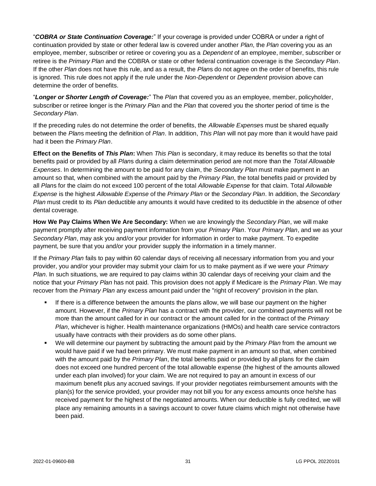"*COBRA or State Continuation Coverage:*" If your coverage is provided under COBRA or under a right of continuation provided by state or other federal law is covered under another *Plan*, the *Plan* covering you as an employee, member, subscriber or retiree or covering you as a *Dependent* of an employee, member, subscriber or retiree is the *Primary Plan* and the COBRA or state or other federal continuation coverage is the *Secondary Plan*. If the other *Plan* does not have this rule, and as a result, the *Plan*s do not agree on the order of benefits, this rule is ignored. This rule does not apply if the rule under the *Non-Dependent* or *Dependent* provision above can determine the order of benefits.

"*Longer or Shorter Length of Coverage:*" The *Plan* that covered you as an employee, member, policyholder, subscriber or retiree longer is the *Primary Plan* and the *Plan* that covered you the shorter period of time is the *Secondary Plan*.

If the preceding rules do not determine the order of benefits, the *Allowable Expense*s must be shared equally between the *Plan*s meeting the definition of *Plan*. In addition, *This Plan* will not pay more than it would have paid had it been the *Primary Plan*.

**Effect on the Benefits of** *This Plan***:** When *This Plan* is secondary, it may reduce its benefits so that the total benefits paid or provided by all *Plan*s during a claim determination period are not more than the *Total Allowable Expenses*. In determining the amount to be paid for any claim, the *Secondary Plan* must make payment in an amount so that, when combined with the amount paid by the *Primary Plan*, the total benefits paid or provided by all *Plan*s for the claim do not exceed 100 percent of the total *Allowable Expense* for that claim. Total *Allowable Expense* is the highest *Allowable Expense* of the *Primary Plan* or the *Secondary Plan*. In addition, the *Secondary Plan* must credit to its *Plan* deductible any amounts it would have credited to its deductible in the absence of other dental coverage.

**How We Pay Claims When We Are Secondary:** When we are knowingly the *Secondary Plan*, we will make payment promptly after receiving payment information from your *Primary Plan*. Your *Primary Plan*, and we as your *Secondary Plan*, may ask you and/or your provider for information in order to make payment. To expedite payment, be sure that you and/or your provider supply the information in a timely manner.

If the *Primary Plan* fails to pay within 60 calendar days of receiving all necessary information from you and your provider, you and/or your provider may submit your claim for us to make payment as if we were your *Primary Plan*. In such situations, we are required to pay claims within 30 calendar days of receiving your claim and the notice that your *Primary Plan* has not paid. This provision does not apply if Medicare is the *Primary Plan*. We may recover from the *Primary Plan* any excess amount paid under the "right of recovery" provision in the plan.

- If there is a difference between the amounts the plans allow, we will base our payment on the higher amount. However, if the *Primary Plan* has a contract with the provider, our combined payments will not be more than the amount called for in our contract or the amount called for in the contract of the *Primary Plan*, whichever is higher. Health maintenance organizations (HMOs) and health care service contractors usually have contracts with their providers as do some other plans.
- We will determine our payment by subtracting the amount paid by the *Primary Plan* from the amount we would have paid if we had been primary. We must make payment in an amount so that, when combined with the amount paid by the *Primary Plan*, the total benefits paid or provided by all plans for the claim does not exceed one hundred percent of the total allowable expense (the highest of the amounts allowed under each plan involved) for your claim. We are not required to pay an amount in excess of our maximum benefit plus any accrued savings. If your provider negotiates reimbursement amounts with the plan(s) for the service provided, your provider may not bill you for any excess amounts once he/she has received payment for the highest of the negotiated amounts. When our deductible is fully credited, we will place any remaining amounts in a savings account to cover future claims which might not otherwise have been paid.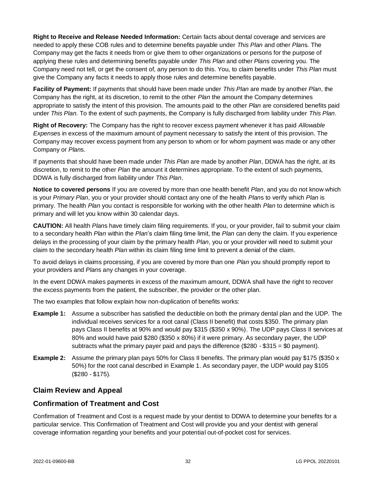**Right to Receive and Release Needed Information:** Certain facts about dental coverage and services are needed to apply these COB rules and to determine benefits payable under *This Plan* and other *Plan*s. The Company may get the facts it needs from or give them to other organizations or persons for the purpose of applying these rules and determining benefits payable under *This Plan* and other *Plan*s covering you. The Company need not tell, or get the consent of, any person to do this. You, to claim benefits under *This Plan* must give the Company any facts it needs to apply those rules and determine benefits payable.

**Facility of Payment:** If payments that should have been made under *This Plan* are made by another *Plan*, the Company has the right, at its discretion, to remit to the other *Plan* the amount the Company determines appropriate to satisfy the intent of this provision. The amounts paid to the other *Plan* are considered benefits paid under *This Plan*. To the extent of such payments, the Company is fully discharged from liability under *This Plan*.

**Right of Recovery:** The Company has the right to recover excess payment whenever it has paid *Allowable Expense*s in excess of the maximum amount of payment necessary to satisfy the intent of this provision. The Company may recover excess payment from any person to whom or for whom payment was made or any other Company or *Plan*s.

If payments that should have been made under *This Plan* are made by another *Plan*, DDWA has the right, at its discretion, to remit to the other *Plan* the amount it determines appropriate. To the extent of such payments, DDWA is fully discharged from liability under *This Plan*.

**Notice to covered persons** If you are covered by more than one health benefit *Plan*, and you do not know which is your *Primary Plan*, you or your provider should contact any one of the health *Plan*s to verify which *Plan* is primary. The health *Plan* you contact is responsible for working with the other health *Plan* to determine which is primary and will let you know within 30 calendar days.

**CAUTION:** All health *Plan*s have timely claim filing requirements. If you, or your provider, fail to submit your claim to a secondary health *Plan* within the *Plan*'s claim filing time limit, the *Plan* can deny the claim. If you experience delays in the processing of your claim by the primary health *Plan*, you or your provider will need to submit your claim to the secondary health *Plan* within its claim filing time limit to prevent a denial of the claim.

To avoid delays in claims processing, if you are covered by more than one *Plan* you should promptly report to your providers and *Plan*s any changes in your coverage.

In the event DDWA makes payments in excess of the maximum amount, DDWA shall have the right to recover the excess payments from the patient, the subscriber, the provider or the other plan.

The two examples that follow explain how non-duplication of benefits works:

- **Example 1:** Assume a subscriber has satisfied the deductible on both the primary dental plan and the UDP. The individual receives services for a root canal (Class II benefit) that costs \$350. The primary plan pays Class II benefits at 90% and would pay \$315 (\$350 x 90%). The UDP pays Class II services at 80% and would have paid \$280 (\$350 x 80%) if it were primary. As secondary payer, the UDP subtracts what the primary payer paid and pays the difference  $(\$280 - \$315 = \$0$  payment).
- **Example 2:** Assume the primary plan pays 50% for Class II benefits. The primary plan would pay \$175 (\$350 x 50%) for the root canal described in Example 1. As secondary payer, the UDP would pay \$105 (\$280 - \$175).

# <span id="page-36-0"></span>**Claim Review and Appeal**

# **Confirmation of Treatment and Cost**

Confirmation of Treatment and Cost is a request made by your dentist to DDWA to determine your benefits for a particular service. This Confirmation of Treatment and Cost will provide you and your dentist with general coverage information regarding your benefits and your potential out-of-pocket cost for services.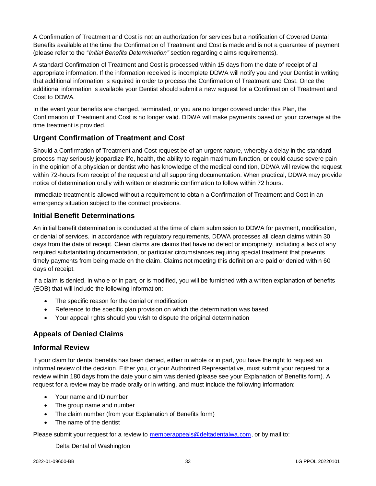A Confirmation of Treatment and Cost is not an authorization for services but a notification of Covered Dental Benefits available at the time the Confirmation of Treatment and Cost is made and is not a guarantee of payment (please refer to the "*Initial Benefits Determination"* section regarding claims requirements).

A standard Confirmation of Treatment and Cost is processed within 15 days from the date of receipt of all appropriate information. If the information received is incomplete DDWA will notify you and your Dentist in writing that additional information is required in order to process the Confirmation of Treatment and Cost. Once the additional information is available your Dentist should submit a new request for a Confirmation of Treatment and Cost to DDWA.

In the event your benefits are changed, terminated, or you are no longer covered under this Plan, the Confirmation of Treatment and Cost is no longer valid. DDWA will make payments based on your coverage at the time treatment is provided.

# **Urgent Confirmation of Treatment and Cost**

Should a Confirmation of Treatment and Cost request be of an urgent nature, whereby a delay in the standard process may seriously jeopardize life, health, the ability to regain maximum function, or could cause severe pain in the opinion of a physician or dentist who has knowledge of the medical condition, DDWA will review the request within 72-hours from receipt of the request and all supporting documentation. When practical, DDWA may provide notice of determination orally with written or electronic confirmation to follow within 72 hours.

Immediate treatment is allowed without a requirement to obtain a Confirmation of Treatment and Cost in an emergency situation subject to the contract provisions.

# **Initial Benefit Determinations**

An initial benefit determination is conducted at the time of claim submission to DDWA for payment, modification, or denial of services. In accordance with regulatory requirements, DDWA processes all clean claims within 30 days from the date of receipt. Clean claims are claims that have no defect or impropriety, including a lack of any required substantiating documentation, or particular circumstances requiring special treatment that prevents timely payments from being made on the claim. Claims not meeting this definition are paid or denied within 60 days of receipt.

If a claim is denied, in whole or in part, or is modified, you will be furnished with a written explanation of benefits (EOB) that will include the following information:

- The specific reason for the denial or modification
- Reference to the specific plan provision on which the determination was based
- Your appeal rights should you wish to dispute the original determination

# <span id="page-37-0"></span>**Appeals of Denied Claims**

# **Informal Review**

If your claim for dental benefits has been denied, either in whole or in part, you have the right to request an informal review of the decision. Either you, or your Authorized Representative, must submit your request for a review within 180 days from the date your claim was denied (please see your Explanation of Benefits form). A request for a review may be made orally or in writing, and must include the following information:

- Your name and ID number
- The group name and number
- The claim number (from your Explanation of Benefits form)
- The name of the dentist

Please submit your request for a review to [memberappeals@deltadentalwa.com,](mailto:memberappeals@deltadentalwa.com) or by mail to:

Delta Dental of Washington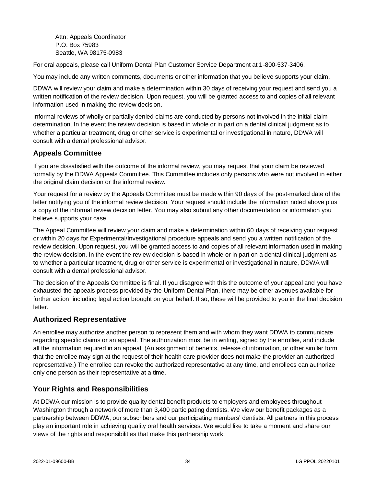Attn: Appeals Coordinator P.O. Box 75983 Seattle, WA 98175-0983

For oral appeals, please call Uniform Dental Plan Customer Service Department at 1-800-537-3406.

You may include any written comments, documents or other information that you believe supports your claim.

DDWA will review your claim and make a determination within 30 days of receiving your request and send you a written notification of the review decision. Upon request, you will be granted access to and copies of all relevant information used in making the review decision.

Informal reviews of wholly or partially denied claims are conducted by persons not involved in the initial claim determination. In the event the review decision is based in whole or in part on a dental clinical judgment as to whether a particular treatment, drug or other service is experimental or investigational in nature, DDWA will consult with a dental professional advisor.

# **Appeals Committee**

If you are dissatisfied with the outcome of the informal review, you may request that your claim be reviewed formally by the DDWA Appeals Committee. This Committee includes only persons who were not involved in either the original claim decision or the informal review.

Your request for a review by the Appeals Committee must be made within 90 days of the post-marked date of the letter notifying you of the informal review decision. Your request should include the information noted above plus a copy of the informal review decision letter. You may also submit any other documentation or information you believe supports your case.

The Appeal Committee will review your claim and make a determination within 60 days of receiving your request or within 20 days for Experimental/Investigational procedure appeals and send you a written notification of the review decision. Upon request, you will be granted access to and copies of all relevant information used in making the review decision. In the event the review decision is based in whole or in part on a dental clinical judgment as to whether a particular treatment, drug or other service is experimental or investigational in nature, DDWA will consult with a dental professional advisor.

The decision of the Appeals Committee is final. If you disagree with this the outcome of your appeal and you have exhausted the appeals process provided by the Uniform Dental Plan, there may be other avenues available for further action, including legal action brought on your behalf. If so, these will be provided to you in the final decision letter.

# <span id="page-38-0"></span>**Authorized Representative**

An enrollee may authorize another person to represent them and with whom they want DDWA to communicate regarding specific claims or an appeal. The authorization must be in writing, signed by the enrollee, and include all the information required in an appeal. (An assignment of benefits, release of information, or other similar form that the enrollee may sign at the request of their health care provider does not make the provider an authorized representative.) The enrollee can revoke the authorized representative at any time, and enrollees can authorize only one person as their representative at a time.

# <span id="page-38-1"></span>**Your Rights and Responsibilities**

At DDWA our mission is to provide quality dental benefit products to employers and employees throughout Washington through a network of more than 3,400 participating dentists. We view our benefit packages as a partnership between DDWA, our subscribers and our participating members' dentists. All partners in this process play an important role in achieving quality oral health services. We would like to take a moment and share our views of the rights and responsibilities that make this partnership work.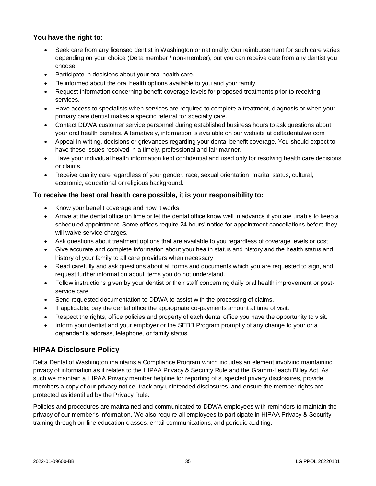# **You have the right to:**

- Seek care from any licensed dentist in Washington or nationally. Our reimbursement for such care varies depending on your choice (Delta member / non-member), but you can receive care from any dentist you choose.
- Participate in decisions about your oral health care.
- Be informed about the oral health options available to you and your family.
- Request information concerning benefit coverage levels for proposed treatments prior to receiving services.
- Have access to specialists when services are required to complete a treatment, diagnosis or when your primary care dentist makes a specific referral for specialty care.
- Contact DDWA customer service personnel during established business hours to ask questions about your oral health benefits. Alternatively, information is available on our website at deltadentalwa.com
- Appeal in writing, decisions or grievances regarding your dental benefit coverage. You should expect to have these issues resolved in a timely, professional and fair manner.
- Have your individual health information kept confidential and used only for resolving health care decisions or claims.
- Receive quality care regardless of your gender, race, sexual orientation, marital status, cultural, economic, educational or religious background.

## **To receive the best oral health care possible, it is your responsibility to:**

- Know your benefit coverage and how it works.
- Arrive at the dental office on time or let the dental office know well in advance if you are unable to keep a scheduled appointment. Some offices require 24 hours' notice for appointment cancellations before they will waive service charges.
- Ask questions about treatment options that are available to you regardless of coverage levels or cost.
- Give accurate and complete information about your health status and history and the health status and history of your family to all care providers when necessary.
- Read carefully and ask questions about all forms and documents which you are requested to sign, and request further information about items you do not understand.
- Follow instructions given by your dentist or their staff concerning daily oral health improvement or postservice care.
- Send requested documentation to DDWA to assist with the processing of claims.
- If applicable, pay the dental office the appropriate co-payments amount at time of visit.
- Respect the rights, office policies and property of each dental office you have the opportunity to visit.
- Inform your dentist and your employer or the SEBB Program promptly of any change to your or a dependent's address, telephone, or family status.

# <span id="page-39-0"></span>**HIPAA Disclosure Policy**

Delta Dental of Washington maintains a Compliance Program which includes an element involving maintaining privacy of information as it relates to the HIPAA Privacy & Security Rule and the Gramm-Leach Bliley Act. As such we maintain a HIPAA Privacy member helpline for reporting of suspected privacy disclosures, provide members a copy of our privacy notice, track any unintended disclosures, and ensure the member rights are protected as identified by the Privacy Rule.

Policies and procedures are maintained and communicated to DDWA employees with reminders to maintain the privacy of our member's information. We also require all employees to participate in HIPAA Privacy & Security training through on-line education classes, email communications, and periodic auditing.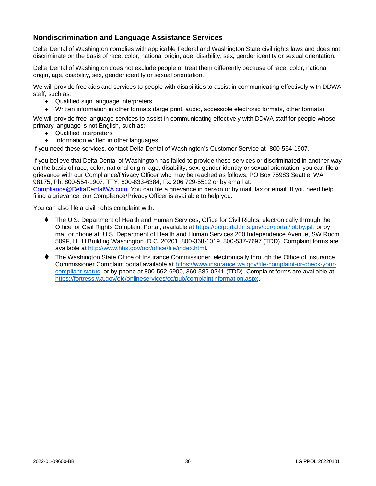# **Nondiscrimination and Language Assistance Services**

Delta Dental of Washington complies with applicable Federal and Washington State civil rights laws and does not discriminate on the basis of race, color, national origin, age, disability, sex, gender identity or sexual orientation.

Delta Dental of Washington does not exclude people or treat them differently because of race, color, national origin, age, disability, sex, gender identity or sexual orientation.

We will provide free aids and services to people with disabilities to assist in communicating effectively with DDWA staff, such as:

- ◆ Qualified sign language interpreters
- Written information in other formats (large print, audio, accessible electronic formats, other formats)

We will provide free language services to assist in communicating effectively with DDWA staff for people whose primary language is not English, such as:

- ◆ Qualified interpreters
- Information written in other languages

If you need these services, contact Delta Dental of Washington's Customer Service at: 800-554-1907.

If you believe that Delta Dental of Washington has failed to provide these services or discriminated in another way on the basis of race, color, national origin, age, disability, sex, gender identity or sexual orientation, you can file a grievance with our Compliance/Privacy Officer who may be reached as follows: PO Box 75983 Seattle, WA 98175, Ph: 800-554-1907, TTY: 800-833-6384, Fx: 206 729-5512 or by email at:

[Compliance@DeltaDentalWA.com.](mailto:Compliance@DeltaDentalWA.com) You can file a grievance in person or by mail, fax or email. If you need help filing a grievance, our Compliance/Privacy Officer is available to help you.

You can also file a civil rights complaint with:

- ⧫ The U.S. Department of Health and Human Services, Office for Civil Rights, electronically through the Office for Civil Rights Complaint Portal, available at [https://ocrportal.hhs.gov/ocr/portal/lobby.jsf,](https://ocrportal.hhs.gov/ocr/portal/lobby.jsf) or by mail or phone at: U.S. Department of Health and Human Services 200 Independence Avenue, SW Room 509F, HHH Building Washington, D.C. 20201, 800-368-1019, 800-537-7697 (TDD). Complaint forms are available a[t http://www.hhs.gov/ocr/office/file/index.html.](http://www.hhs.gov/ocr/office/file/index.html)
- ⧫ The Washington State Office of Insurance Commissioner, electronically through the Office of Insurance Commissioner Complaint portal available a[t https://www.insurance.wa.gov/file-complaint-or-check-your](https://www.insurance.wa.gov/file-complaint-or-check-your-compliant-status)[compliant-status,](https://www.insurance.wa.gov/file-complaint-or-check-your-compliant-status) or by phone at 800-562-6900, 360-586-0241 (TDD). Complaint forms are available at [https://fortress.wa.gov/oic/onlineservices/cc/pub/complaintinformation.aspx.](https://fortress.wa.gov/oic/onlineservices/cc/pub/complaintinformation.aspx)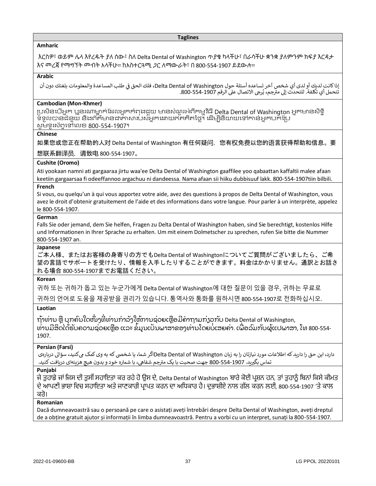#### **Taglines**

#### **Amharic**

እርስዎ፣ ወይም ሌላ እየረዱት ያለ ሰው፣ ስለ Delta Dental of Washington ጥያቄ ካላችሁ፣ በራሳችሁ ቋንቋ ያለምንም ክፍያ እርዳታ እና መረጃ የማግኘት መብት አላችሁ። ከአስተርጓሚ ጋር ለማውራት፣ በ 800-554-1907 ይደውሉ።

#### **Arabic**

إذا كانت لديك أو لدى أي شخص آخر تساعده أسئلة حول Delta Dental of Washington، فلك الحق في طلب المساعدة والمعلومات بلغتك دون أن ي l ية حتى تعتيت أو تتات أي تتحتص التر تستخدم السنة للوت ...<br>تتحمل أي تكلفة. للتحدث إلى مترجم، يُرجى الاتصال على الرقم 1907-554-800. ।<br>१

#### **Cambodian (Mon-Khmer)**

ប្រសិនបើអ្នក ប្អូនរណាម្នាក់ដែលអ្នកកំពុងជួយ មានសំណួរអំពីកម្មវិធី Delta Dental of Washington អ្នកមានសិទ្ធិ ទ្ទ្ួលបានជំនួយ និងព័ត៌ម្ននជាភាសាររស់អ្នកបោយឥតគិតថ្លៃ។ បែើម្បីនិយាយបៅកាន់អ្នករកដប្រ សូ ម្ទ្ូរស័ពទបៅបលខ 800-554-1907។

#### **Chinese**

如果您或您正在帮助的人对 Delta Dental of Washington 有任何疑问, 您有权免费以您的语言获得帮助和信息。要

想联系翻译员,请致电 800-554-1907。

## **Cushite (Oromo)**

Ati yookaan namni ati gargaaraa jirtu waa'ee Delta Dental of Washington gaaffilee yoo qabaattan kaffaltii malee afaan keetiin gargaarsaa fi odeeffannoo argachuu ni dandeessa. Nama afaan sii hiiku dubbisuuf lakk. 800-554-1907tiin bilbili.

#### **French**

Si vous, ou quelqu'un à qui vous apportez votre aide, avez des questions à propos de Delta Dental of Washington, vous avez le droit d'obtenir gratuitement de l'aide et des informations dans votre langue. Pour parler à un interprète, appelez le 800-554-1907.

#### **German**

Falls Sie oder jemand, dem Sie helfen, Fragen zu Delta Dental of Washington haben, sind Sie berechtigt, kostenlos Hilfe und Informationen in Ihrer Sprache zu erhalten. Um mit einem Dolmetscher zu sprechen, rufen Sie bitte die Nummer 800-554-1907 an.

#### **Japanese**

ご本人様、またはお客様の身寄りの方でもDelta Dental of Washingtonについてご質問がございましたら、ご希 望の言語でサポートを受けたり、情報を入手したりすることができます。料金はかかりません。通訳とお話さ れる場合 800-554-1907までお電話ください。

#### **Korean**

귀하 또는 귀하가 돕고 있는 누군가에게 Delta Dental of Washington에 대한 질문이 있을 경우, 귀하는 무료로

귀하의 언어로 도움을 제공받을 권리가 있습니다. 통역사와 통화를 원하시면 800-554-1907로 전화하십시오.

**Laotian**

ຖ້າທ່ານ ຫຼື ບຸກຄົນໃດໜຶ່ງທີ່ທ່ານກໍາລັງໃຫ້ການຊ່ວຍເຫຼືອມີຄໍາຖາມກ່ຽວກັບ Delta Dental of Washington, ທ່ານມີສິດໄດ້ຮັບຄວາມຊ່ວຍເຫຼືອ ແລະ ຂໍ້ມູນເປັນພາສາຂອງທ່ານໂດຍບໍ່ເສຍຄ່າ. ເພື່ອລົມກັບຜູ້ແປພາສາ, ໂທ 800-554-1907.

## **Persian (Farsi)**

دارد، این حق را دارید که اطلاعات مورد نیازتان را به زبان Delta Dental of Washingtonاگر شما، یا شخصی که به وی کمک میکنید، سؤالی درباره ی ر دی.<br>تماس بگیرید. 1907-554-800 جهت صحبت با یک مترجم شفاهی، با شماره خود و بدون هیچ هزینهای دریافت کنید.

## **Punjabi**

ਜੇ ਤੁਹਾਡੇ ਜਾਂ ਜਿਸ ਦੀ ਤੁਸੀਂ ਸਹਾਇਤਾ ਕਰ ਰਹੇ ਹੋ ਉਸ ਦੇ, Delta Dental of Washington ਬਾਰੇ ਕੋਈ ਪ੍ਰਸ਼ਨ ਹਨ, ਤਾਂ ਤੁਹਾਨੂੰ ਬਿਨਾਂ ਕਿਸੇ ਕੀਮਤ ਦੇ ਆਪ੍ਣੀ ਭਾਸ਼ਾ ਜਿਚ ਸਹਾਇਤਾ ਅਤੇ ਜਾਣਕਾਰੀ ਪ੍ਰਾਪ੍ਤ ਕਰਨ ਦਾ ਅਜਿਕਾਰ ਹੈ। ਦੁਭਾਸ਼ੀਏ ਨਾਲ ਗੱਲ ਕਰਨ ਲਈ, 800-554-1907 'ਤੇ ਕਾਲ ਕਰੋ।

## **Romanian**

Dacă dumneavoastră sau o persoană pe care o asistați aveți întrebări despre Delta Dental of Washington, aveți dreptul de a obține gratuit ajutor și informații în limba dumneavoastră. Pentru a vorbi cu un interpret, sunați la 800-554-1907.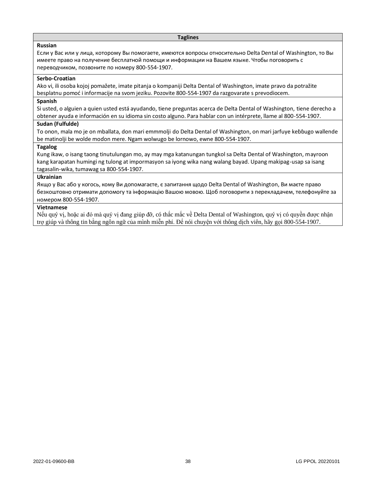#### **Taglines**

#### **Russian**

Если у Вас или у лица, которому Вы помогаете, имеются вопросы относительно Delta Dental of Washington, то Вы имеете право на получение бесплатной помощи и информации на Вашем языке. Чтобы поговорить с переводчиком, позвоните по номеру 800-554-1907.

#### **Serbo-Croatian**

Ako vi, ili osoba kojoj pomažete, imate pitanja o kompaniji Delta Dental of Washington, imate pravo da potražite besplatnu pomoć i informacije na svom jeziku. Pozovite 800-554-1907 da razgovarate s prevodiocem.

## **Spanish**

Si usted, o alguien a quien usted está ayudando, tiene preguntas acerca de Delta Dental of Washington, tiene derecho a obtener ayuda e información en su idioma sin costo alguno. Para hablar con un intérprete, llame al 800-554-1907.

#### **Sudan (Fulfulde)**

To onon, mala mo je on mballata, don mari emmmolji do Delta Dental of Washington, on mari jarfuye keɓɓugo wallende be matinolji be wolde moɗon mere. Ngam wolwugo be lornowo, ewne 800-554-1907.

#### **Tagalog**

Kung ikaw, o isang taong tinutulungan mo, ay may mga katanungan tungkol sa Delta Dental of Washington, mayroon kang karapatan humingi ng tulong at impormasyon sa iyong wika nang walang bayad. Upang makipag-usap sa isang tagasalin-wika, tumawag sa 800-554-1907.

#### **Ukrainian**

Якщо у Вас або у когось, кому Ви допомагаєте, є запитання щодо Delta Dental of Washington, Ви маєте право безкоштовно отримати допомогу та інформацію Вашою мовою. Щоб поговорити з перекладачем, телефонуйте за номером 800-554-1907.

#### **Vietnamese**

Nếu quý vị, hoặc ai đó mà quý vị đang giúp đỡ, có thắc mắc về Delta Dental of Washington, quý vị có quyền được nhận trợ giúp và thông tin bằng ngôn ngữ của mình miễn phí. Để nói chuyện với thông dịch viên, hãy gọi 800-554-1907.